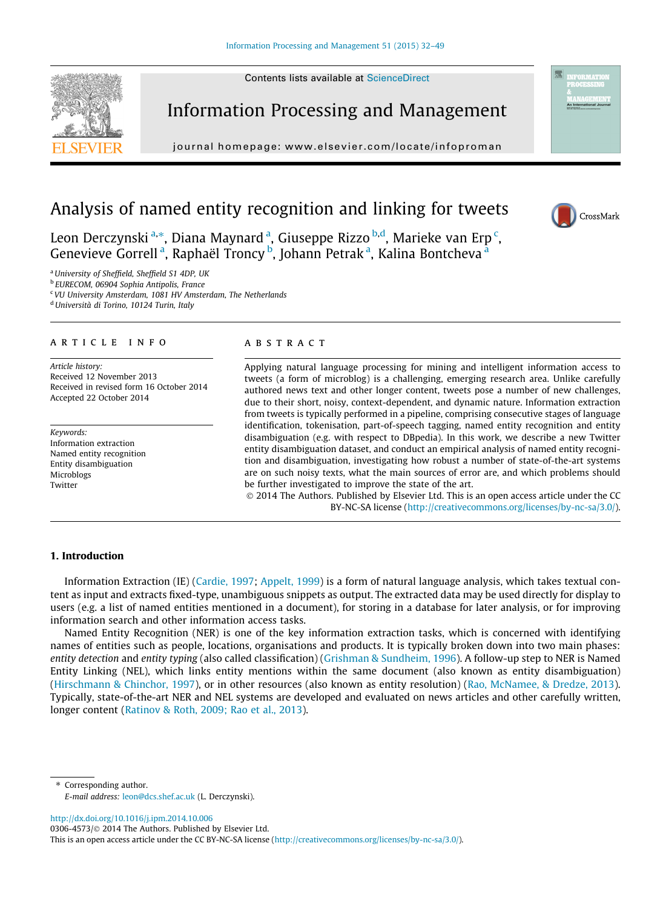Contents lists available at [ScienceDirect](http://www.sciencedirect.com/science/journal/03064573)



# Information Processing and Management

journal homepage: [www.elsevier.com/locate/infoproman](http://www.elsevier.com/locate/infoproman)



# Analysis of named entity recognition and linking for tweets

Leon Derczynski<sup>a,</sup>\*, Diana Maynard<sup>a</sup>, Giuseppe Rizzo <sup>b,d</sup>, Marieke van Erp <sup>c</sup>, Genevieve Gorrell<sup>a</sup>, Raphaël Troncy <sup>b</sup>, Johann Petrak<sup>a</sup>, Kalina Bontcheva<sup>a</sup>

<sup>a</sup> University of Sheffield, Sheffield S1 4DP, UK

<sup>b</sup> EURECOM, 06904 Sophia Antipolis, France

<sup>c</sup> VU University Amsterdam, 1081 HV Amsterdam, The Netherlands

<sup>d</sup> Università di Torino, 10124 Turin, Italy

#### article info

Article history: Received 12 November 2013 Received in revised form 16 October 2014 Accepted 22 October 2014

Keywords: Information extraction Named entity recognition Entity disambiguation Microblogs Twitter

# **ABSTRACT**

Applying natural language processing for mining and intelligent information access to tweets (a form of microblog) is a challenging, emerging research area. Unlike carefully authored news text and other longer content, tweets pose a number of new challenges, due to their short, noisy, context-dependent, and dynamic nature. Information extraction from tweets is typically performed in a pipeline, comprising consecutive stages of language identification, tokenisation, part-of-speech tagging, named entity recognition and entity disambiguation (e.g. with respect to DBpedia). In this work, we describe a new Twitter entity disambiguation dataset, and conduct an empirical analysis of named entity recognition and disambiguation, investigating how robust a number of state-of-the-art systems are on such noisy texts, what the main sources of error are, and which problems should be further investigated to improve the state of the art.

© 2014 The Authors. Published by Elsevier Ltd. This is an open access article under the CC BY-NC-SA license [\(http://creativecommons.org/licenses/by-nc-sa/3.0/](http://creativecommons.org/licenses/by-nc-sa/3.0/)).

# 1. Introduction

Information Extraction (IE) [\(Cardie, 1997;](#page-16-0) [Appelt, 1999\)](#page-16-0) is a form of natural language analysis, which takes textual content as input and extracts fixed-type, unambiguous snippets as output. The extracted data may be used directly for display to users (e.g. a list of named entities mentioned in a document), for storing in a database for later analysis, or for improving information search and other information access tasks.

Named Entity Recognition (NER) is one of the key information extraction tasks, which is concerned with identifying names of entities such as people, locations, organisations and products. It is typically broken down into two main phases: entity detection and entity typing (also called classification) ([Grishman & Sundheim, 1996](#page-16-0)). A follow-up step to NER is Named Entity Linking (NEL), which links entity mentions within the same document (also known as entity disambiguation) [\(Hirschmann & Chinchor, 1997](#page-16-0)), or in other resources (also known as entity resolution) [\(Rao, McNamee, & Dredze, 2013](#page-17-0)). Typically, state-of-the-art NER and NEL systems are developed and evaluated on news articles and other carefully written, longer content [\(Ratinov & Roth, 2009; Rao et al., 2013](#page-17-0)).

<http://dx.doi.org/10.1016/j.ipm.2014.10.006>

0306-4573/© 2014 The Authors. Published by Elsevier Ltd. This is an open access article under the CC BY-NC-SA license (<http://creativecommons.org/licenses/by-nc-sa/3.0/>).

Corresponding author. E-mail address: [leon@dcs.shef.ac.uk](mailto:leon@dcs.shef.ac.uk) (L. Derczynski).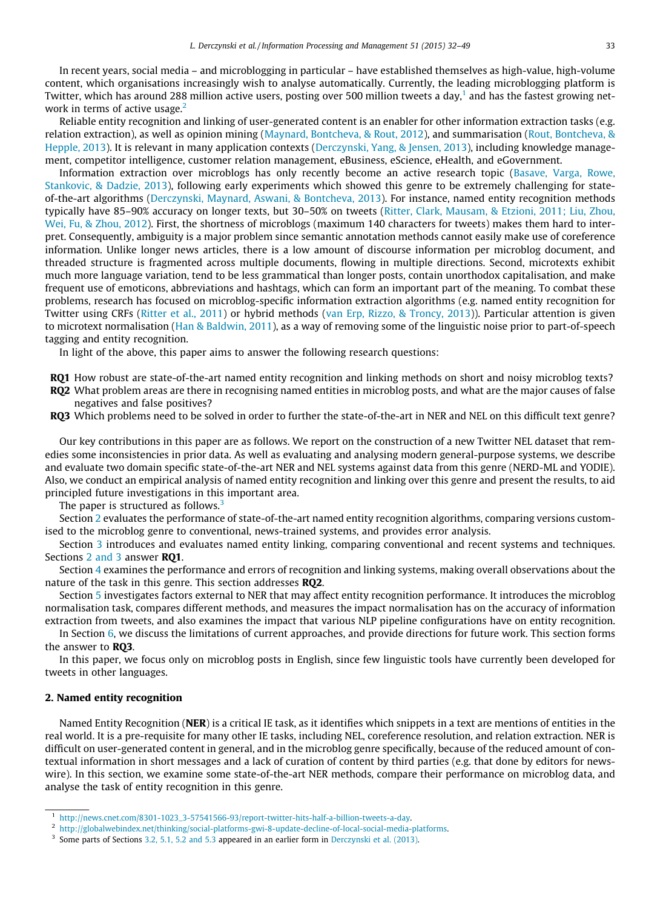<span id="page-1-0"></span>In recent years, social media – and microblogging in particular – have established themselves as high-value, high-volume content, which organisations increasingly wish to analyse automatically. Currently, the leading microblogging platform is Twitter, which has around 288 million active users, posting over 500 million tweets a day,<sup>1</sup> and has the fastest growing network in terms of active usage.<sup>2</sup>

Reliable entity recognition and linking of user-generated content is an enabler for other information extraction tasks (e.g. relation extraction), as well as opinion mining [\(Maynard, Bontcheva, & Rout, 2012\)](#page-17-0), and summarisation [\(Rout, Bontcheva, &](#page-17-0) [Hepple, 2013\)](#page-17-0). It is relevant in many application contexts [\(Derczynski, Yang, & Jensen, 2013\)](#page-16-0), including knowledge management, competitor intelligence, customer relation management, eBusiness, eScience, eHealth, and eGovernment.

Information extraction over microblogs has only recently become an active research topic ([Basave, Varga, Rowe,](#page-16-0) [Stankovic, & Dadzie, 2013\)](#page-16-0), following early experiments which showed this genre to be extremely challenging for stateof-the-art algorithms [\(Derczynski, Maynard, Aswani, & Bontcheva, 2013\)](#page-16-0). For instance, named entity recognition methods typically have 85–90% accuracy on longer texts, but 30–50% on tweets [\(Ritter, Clark, Mausam, & Etzioni, 2011; Liu, Zhou,](#page-17-0) [Wei, Fu, & Zhou, 2012](#page-17-0)). First, the shortness of microblogs (maximum 140 characters for tweets) makes them hard to interpret. Consequently, ambiguity is a major problem since semantic annotation methods cannot easily make use of coreference information. Unlike longer news articles, there is a low amount of discourse information per microblog document, and threaded structure is fragmented across multiple documents, flowing in multiple directions. Second, microtexts exhibit much more language variation, tend to be less grammatical than longer posts, contain unorthodox capitalisation, and make frequent use of emoticons, abbreviations and hashtags, which can form an important part of the meaning. To combat these problems, research has focused on microblog-specific information extraction algorithms (e.g. named entity recognition for Twitter using CRFs [\(Ritter et al., 2011](#page-17-0)) or hybrid methods ([van Erp, Rizzo, & Troncy, 2013\)](#page-17-0)). Particular attention is given to microtext normalisation [\(Han & Baldwin, 2011\)](#page-16-0), as a way of removing some of the linguistic noise prior to part-of-speech tagging and entity recognition.

In light of the above, this paper aims to answer the following research questions:

RQ1 How robust are state-of-the-art named entity recognition and linking methods on short and noisy microblog texts?

RQ2 What problem areas are there in recognising named entities in microblog posts, and what are the major causes of false negatives and false positives?

RQ3 Which problems need to be solved in order to further the state-of-the-art in NER and NEL on this difficult text genre?

Our key contributions in this paper are as follows. We report on the construction of a new Twitter NEL dataset that remedies some inconsistencies in prior data. As well as evaluating and analysing modern general-purpose systems, we describe and evaluate two domain specific state-of-the-art NER and NEL systems against data from this genre (NERD-ML and YODIE). Also, we conduct an empirical analysis of named entity recognition and linking over this genre and present the results, to aid principled future investigations in this important area.

The paper is structured as follows.<sup>3</sup>

Section 2 evaluates the performance of state-of-the-art named entity recognition algorithms, comparing versions customised to the microblog genre to conventional, news-trained systems, and provides error analysis.

Section [3](#page-6-0) introduces and evaluates named entity linking, comparing conventional and recent systems and techniques. Sections 2 and 3 answer **RO1**.

Section [4](#page-10-0) examines the performance and errors of recognition and linking systems, making overall observations about the nature of the task in this genre. This section addresses RQ2.

Section [5](#page-12-0) investigates factors external to NER that may affect entity recognition performance. It introduces the microblog normalisation task, compares different methods, and measures the impact normalisation has on the accuracy of information extraction from tweets, and also examines the impact that various NLP pipeline configurations have on entity recognition.

In Section [6,](#page-15-0) we discuss the limitations of current approaches, and provide directions for future work. This section forms the answer to RQ3.

In this paper, we focus only on microblog posts in English, since few linguistic tools have currently been developed for tweets in other languages.

# 2. Named entity recognition

Named Entity Recognition (NER) is a critical IE task, as it identifies which snippets in a text are mentions of entities in the real world. It is a pre-requisite for many other IE tasks, including NEL, coreference resolution, and relation extraction. NER is difficult on user-generated content in general, and in the microblog genre specifically, because of the reduced amount of contextual information in short messages and a lack of curation of content by third parties (e.g. that done by editors for newswire). In this section, we examine some state-of-the-art NER methods, compare their performance on microblog data, and analyse the task of entity recognition in this genre.

<sup>1</sup> [http://news.cnet.com/8301-1023\\_3-57541566-93/report-twitter-hits-half-a-billion-tweets-a-day](http://news.cnet.com/8301-1023_3-57541566-93/report-twitter-hits-half-a-billion-tweets-a-day).

<sup>2</sup> [http://globalwebindex.net/thinking/social-platforms-gwi-8-update-decline-of-local-social-media-platforms.](http://globalwebindex.net/thinking/social-platforms-gwi-8-update-decline-of-local-social-media-platforms)

<sup>&</sup>lt;sup>3</sup> Some parts of Sections [3.2, 5.1, 5.2 and 5.3](#page-9-0) appeared in an earlier form in [Derczynski et al. \(2013\).](#page-16-0)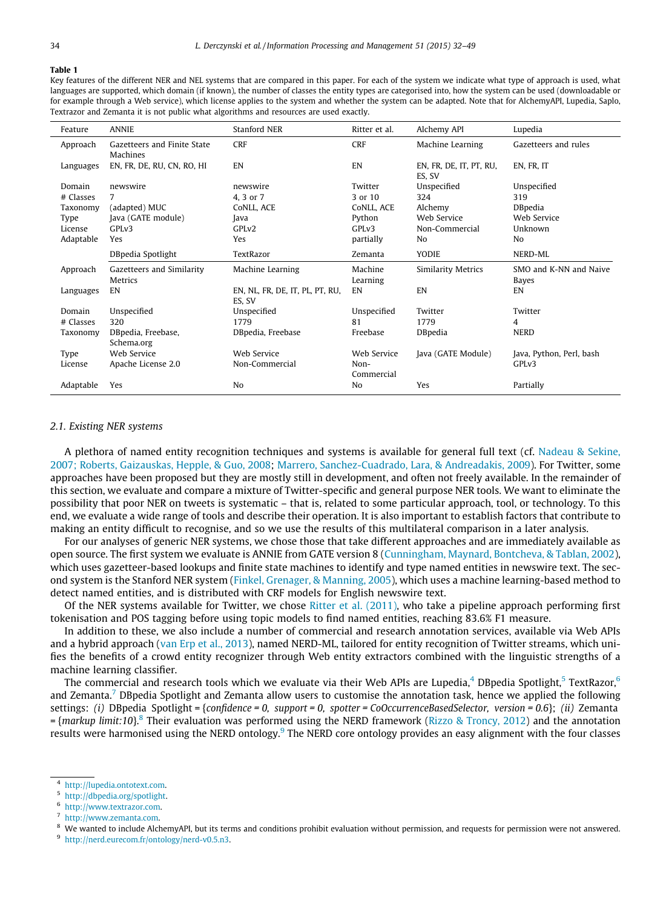<span id="page-2-0"></span>Key features of the different NER and NEL systems that are compared in this paper. For each of the system we indicate what type of approach is used, what languages are supported, which domain (if known), the number of classes the entity types are categorised into, how the system can be used (downloadable or for example through a Web service), which license applies to the system and whether the system can be adapted. Note that for AlchemyAPI, Lupedia, Saplo, Textrazor and Zemanta it is not public what algorithms and resources are used exactly.

| Feature   | <b>ANNIE</b>                                   | Stanford NER                              | Ritter et al. | Alchemy API                       | Lupedia                  |
|-----------|------------------------------------------------|-------------------------------------------|---------------|-----------------------------------|--------------------------|
| Approach  | Gazetteers and Finite State<br><b>Machines</b> | <b>CRF</b>                                | <b>CRF</b>    | Machine Learning                  | Gazetteers and rules     |
| Languages | EN, FR, DE, RU, CN, RO, HI                     | EN                                        | EN            | EN, FR, DE, IT, PT, RU,<br>ES, SV | EN, FR, IT               |
| Domain    | newswire                                       | newswire                                  | Twitter       | Unspecified                       | Unspecified              |
| # Classes | 7                                              | 4, 3 or 7                                 | 3 or 10       | 324                               | 319                      |
| Taxonomy  | (adapted) MUC                                  | CoNLL, ACE                                | CoNLL, ACE    | Alchemy                           | <b>DBpedia</b>           |
| Type      | Java (GATE module)                             | Java                                      | Python        | Web Service                       | Web Service              |
| License   | GPLv3                                          | $GPI_v2$                                  | GPLv3         | Non-Commercial                    | Unknown                  |
| Adaptable | Yes                                            | Yes                                       | partially     | No                                | No                       |
|           | DBpedia Spotlight                              | TextRazor                                 | Zemanta       | YODIE                             | NERD-ML                  |
| Approach  | Gazetteers and Similarity                      | Machine Learning                          | Machine       | Similarity Metrics                | SMO and K-NN and Naive   |
|           | <b>Metrics</b>                                 |                                           | Learning      |                                   | Bayes                    |
| Languages | EN                                             | EN, NL, FR, DE, IT, PL, PT, RU,<br>ES, SV | EN            | EN                                | EN                       |
| Domain    | Unspecified                                    | Unspecified                               | Unspecified   | Twitter                           | Twitter                  |
| # Classes | 320                                            | 1779                                      | 81            | 1779                              | 4                        |
| Taxonomy  | DBpedia, Freebase,                             | DBpedia, Freebase                         | Freebase      | <b>DBpedia</b>                    | <b>NERD</b>              |
|           | Schema.org                                     |                                           |               |                                   |                          |
| Type      | Web Service                                    | Web Service                               | Web Service   | Java (GATE Module)                | Java, Python, Perl, bash |
| License   | Apache License 2.0                             | Non-Commercial                            | Non-          |                                   | GPLv3                    |
|           |                                                |                                           | Commercial    |                                   |                          |
| Adaptable | Yes                                            | No                                        | No            | Yes                               | Partially                |

# 2.1. Existing NER systems

A plethora of named entity recognition techniques and systems is available for general full text (cf. [Nadeau & Sekine,](#page-17-0) [2007; Roberts, Gaizauskas, Hepple, & Guo, 2008;](#page-17-0) [Marrero, Sanchez-Cuadrado, Lara, & Andreadakis, 2009\)](#page-17-0). For Twitter, some approaches have been proposed but they are mostly still in development, and often not freely available. In the remainder of this section, we evaluate and compare a mixture of Twitter-specific and general purpose NER tools. We want to eliminate the possibility that poor NER on tweets is systematic – that is, related to some particular approach, tool, or technology. To this end, we evaluate a wide range of tools and describe their operation. It is also important to establish factors that contribute to making an entity difficult to recognise, and so we use the results of this multilateral comparison in a later analysis.

For our analyses of generic NER systems, we chose those that take different approaches and are immediately available as open source. The first system we evaluate is ANNIE from GATE version 8 [\(Cunningham, Maynard, Bontcheva, & Tablan, 2002\)](#page-16-0), which uses gazetteer-based lookups and finite state machines to identify and type named entities in newswire text. The second system is the Stanford NER system [\(Finkel, Grenager, & Manning, 2005\)](#page-16-0), which uses a machine learning-based method to detect named entities, and is distributed with CRF models for English newswire text.

Of the NER systems available for Twitter, we chose [Ritter et al. \(2011\)](#page-17-0), who take a pipeline approach performing first tokenisation and POS tagging before using topic models to find named entities, reaching 83.6% F1 measure.

In addition to these, we also include a number of commercial and research annotation services, available via Web APIs and a hybrid approach [\(van Erp et al., 2013](#page-17-0)), named NERD-ML, tailored for entity recognition of Twitter streams, which unifies the benefits of a crowd entity recognizer through Web entity extractors combined with the linguistic strengths of a machine learning classifier.

The commercial and research tools which we evaluate via their Web APIs are Lupedia,<sup>4</sup> DBpedia Spotlight,<sup>5</sup> TextRazor,<sup>6</sup> and Zemanta.7 DBpedia Spotlight and Zemanta allow users to customise the annotation task, hence we applied the following settings: (i) DBpedia Spotlight = {confidence = 0, support = 0, spotter = CoOccurrenceBasedSelector, version =  $0.6$ }; (ii) Zemanta  $=$  {markup limit:10}.<sup>8</sup> Their evaluation was performed using the NERD framework ([Rizzo & Troncy, 2012](#page-17-0)) and the annotation results were harmonised using the NERD ontology.<sup>9</sup> The NERD core ontology provides an easy alignment with the four classes

 $4 <sup>4</sup> <http://lupedia.ontotext.com>.$ 

[http://dbpedia.org/spotlight.](http://dbpedia.org/spotlight)

<http://www.textrazor.com>.

<sup>7</sup> [http://www.zemanta.com.](http://www.zemanta.com)

<sup>&</sup>lt;sup>8</sup> We wanted to include AlchemyAPI, but its terms and conditions prohibit evaluation without permission, and requests for permission were not answered.

<sup>9</sup> <http://nerd.eurecom.fr/ontology/nerd-v0.5.n3>.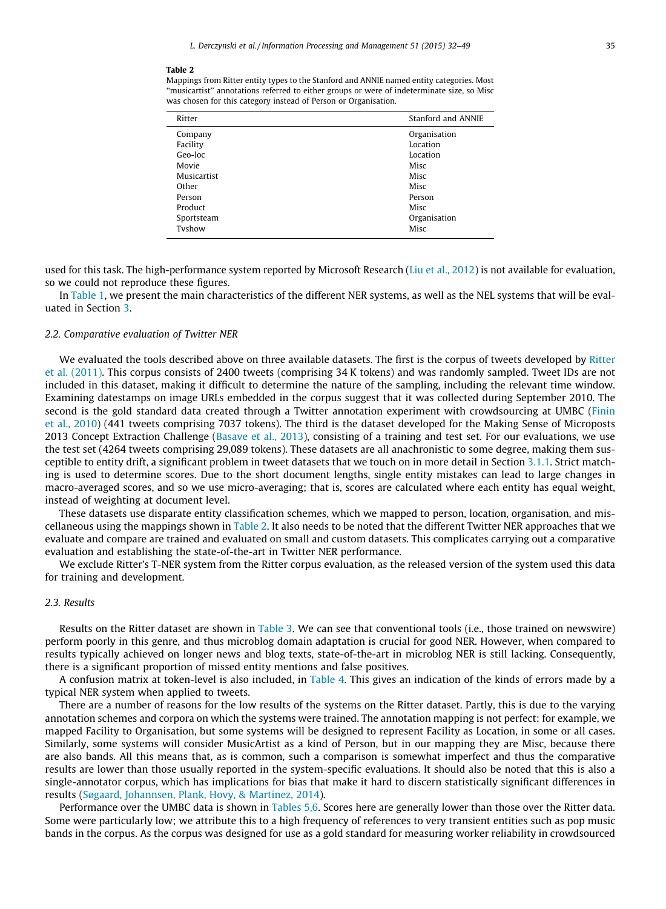Mappings from Ritter entity types to the Stanford and ANNIE named entity categories. Most ''musicartist'' annotations referred to either groups or were of indeterminate size, so Misc was chosen for this category instead of Person or Organisation.

| Ritter      | Stanford and ANNIE |
|-------------|--------------------|
| Company     | Organisation       |
| Facility    | Location           |
| Geo-loc     | Location           |
| Movie       | <b>Misc</b>        |
| Musicartist | <b>Misc</b>        |
| Other       | <b>Misc</b>        |
| Person      | Person             |
| Product     | <b>Misc</b>        |
| Sportsteam  | Organisation       |
| Tyshow      | <b>Misc</b>        |

used for this task. The high-performance system reported by Microsoft Research ([Liu et al., 2012](#page-16-0)) is not available for evaluation, so we could not reproduce these figures.

In [Table 1](#page-2-0), we present the main characteristics of the different NER systems, as well as the NEL systems that will be evaluated in Section [3.](#page-6-0)

#### 2.2. Comparative evaluation of Twitter NER

We evaluated the tools described above on three available datasets. The first is the corpus of tweets developed by [Ritter](#page-17-0) [et al. \(2011\)](#page-17-0). This corpus consists of 2400 tweets (comprising 34 K tokens) and was randomly sampled. Tweet IDs are not included in this dataset, making it difficult to determine the nature of the sampling, including the relevant time window. Examining datestamps on image URLs embedded in the corpus suggest that it was collected during September 2010. The second is the gold standard data created through a Twitter annotation experiment with crowdsourcing at UMBC [\(Finin](#page-16-0) [et al., 2010](#page-16-0)) (441 tweets comprising 7037 tokens). The third is the dataset developed for the Making Sense of Microposts 2013 Concept Extraction Challenge ([Basave et al., 2013](#page-16-0)), consisting of a training and test set. For our evaluations, we use the test set (4264 tweets comprising 29,089 tokens). These datasets are all anachronistic to some degree, making them susceptible to entity drift, a significant problem in tweet datasets that we touch on in more detail in Section [3.1.1.](#page-7-0) Strict matching is used to determine scores. Due to the short document lengths, single entity mistakes can lead to large changes in macro-averaged scores, and so we use micro-averaging; that is, scores are calculated where each entity has equal weight, instead of weighting at document level.

These datasets use disparate entity classification schemes, which we mapped to person, location, organisation, and miscellaneous using the mappings shown in Table 2. It also needs to be noted that the different Twitter NER approaches that we evaluate and compare are trained and evaluated on small and custom datasets. This complicates carrying out a comparative evaluation and establishing the state-of-the-art in Twitter NER performance.

We exclude Ritter's T-NER system from the Ritter corpus evaluation, as the released version of the system used this data for training and development.

## 2.3. Results

Results on the Ritter dataset are shown in [Table 3](#page-4-0). We can see that conventional tools (i.e., those trained on newswire) perform poorly in this genre, and thus microblog domain adaptation is crucial for good NER. However, when compared to results typically achieved on longer news and blog texts, state-of-the-art in microblog NER is still lacking. Consequently, there is a significant proportion of missed entity mentions and false positives.

A confusion matrix at token-level is also included, in [Table 4.](#page-4-0) This gives an indication of the kinds of errors made by a typical NER system when applied to tweets.

There are a number of reasons for the low results of the systems on the Ritter dataset. Partly, this is due to the varying annotation schemes and corpora on which the systems were trained. The annotation mapping is not perfect: for example, we mapped Facility to Organisation, but some systems will be designed to represent Facility as Location, in some or all cases. Similarly, some systems will consider MusicArtist as a kind of Person, but in our mapping they are Misc, because there are also bands. All this means that, as is common, such a comparison is somewhat imperfect and thus the comparative results are lower than those usually reported in the system-specific evaluations. It should also be noted that this is also a single-annotator corpus, which has implications for bias that make it hard to discern statistically significant differences in results ([Søgaard, Johannsen, Plank, Hovy, & Martinez, 2014](#page-17-0)).

Performance over the UMBC data is shown in [Tables 5,6](#page-4-0). Scores here are generally lower than those over the Ritter data. Some were particularly low; we attribute this to a high frequency of references to very transient entities such as pop music bands in the corpus. As the corpus was designed for use as a gold standard for measuring worker reliability in crowdsourced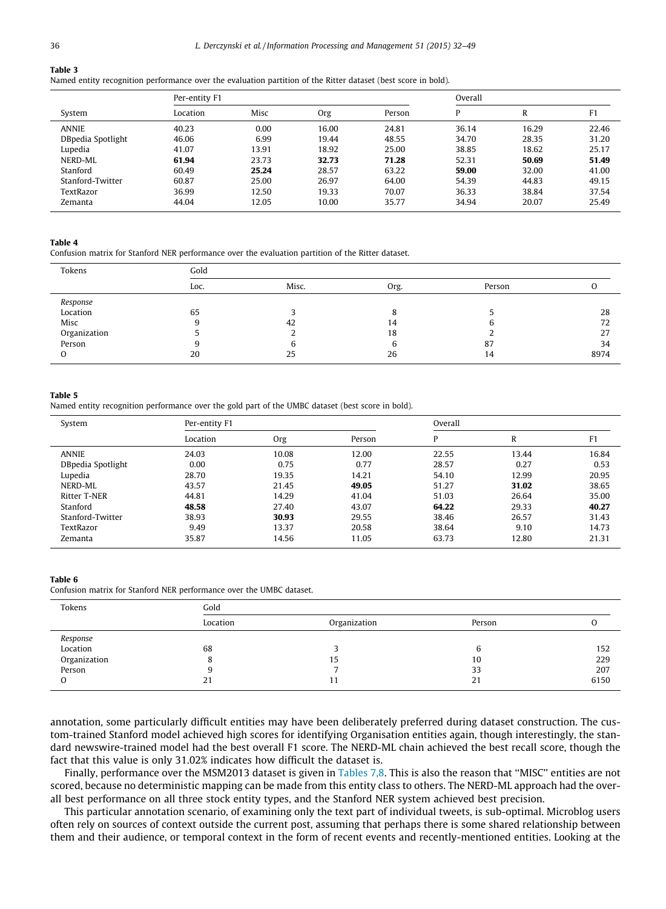<span id="page-4-0"></span>Named entity recognition performance over the evaluation partition of the Ritter dataset (best score in bold).

|                   | Per-entity F1 |       |       |        | Overall |       |       |
|-------------------|---------------|-------|-------|--------|---------|-------|-------|
| System            | Location      | Misc  | Org   | Person |         | R     | F1    |
| <b>ANNIE</b>      | 40.23         | 0.00  | 16.00 | 24.81  | 36.14   | 16.29 | 22.46 |
| DBpedia Spotlight | 46.06         | 6.99  | 19.44 | 48.55  | 34.70   | 28.35 | 31.20 |
| Lupedia           | 41.07         | 13.91 | 18.92 | 25.00  | 38.85   | 18.62 | 25.17 |
| NERD-ML           | 61.94         | 23.73 | 32.73 | 71.28  | 52.31   | 50.69 | 51.49 |
| Stanford          | 60.49         | 25.24 | 28.57 | 63.22  | 59.00   | 32.00 | 41.00 |
| Stanford-Twitter  | 60.87         | 25.00 | 26.97 | 64.00  | 54.39   | 44.83 | 49.15 |
| TextRazor         | 36.99         | 12.50 | 19.33 | 70.07  | 36.33   | 38.84 | 37.54 |
| Zemanta           | 44.04         | 12.05 | 10.00 | 35.77  | 34.94   | 20.07 | 25.49 |

#### Table 4

Confusion matrix for Stanford NER performance over the evaluation partition of the Ritter dataset.

| Tokens       | Gold |       |      |        |      |
|--------------|------|-------|------|--------|------|
|              | Loc. | Misc. | Org. | Person |      |
| Response     |      |       |      |        |      |
| Location     | 65   |       |      |        | 28   |
| Misc         |      | 42    | 14   | о      | 72   |
| Organization |      |       | 18   |        | 27   |
| Person       |      | b     |      | 87     | 34   |
|              | 20   | 25    | 26   | 14     | 8974 |

#### Table 5

Named entity recognition performance over the gold part of the UMBC dataset (best score in bold).

| System            | Per-entity F1 |       |        | Overall |       |                |  |
|-------------------|---------------|-------|--------|---------|-------|----------------|--|
|                   | Location      | Org   | Person | D       | R     | F <sub>1</sub> |  |
| <b>ANNIE</b>      | 24.03         | 10.08 | 12.00  | 22.55   | 13.44 | 16.84          |  |
| DBpedia Spotlight | 0.00          | 0.75  | 0.77   | 28.57   | 0.27  | 0.53           |  |
| Lupedia           | 28.70         | 19.35 | 14.21  | 54.10   | 12.99 | 20.95          |  |
| NERD-ML           | 43.57         | 21.45 | 49.05  | 51.27   | 31.02 | 38.65          |  |
| Ritter T-NER      | 44.81         | 14.29 | 41.04  | 51.03   | 26.64 | 35.00          |  |
| Stanford          | 48.58         | 27.40 | 43.07  | 64.22   | 29.33 | 40.27          |  |
| Stanford-Twitter  | 38.93         | 30.93 | 29.55  | 38.46   | 26.57 | 31.43          |  |
| TextRazor         | 9.49          | 13.37 | 20.58  | 38.64   | 9.10  | 14.73          |  |
| Zemanta           | 35.87         | 14.56 | 11.05  | 63.73   | 12.80 | 21.31          |  |

# Table 6

Confusion matrix for Stanford NER performance over the UMBC dataset.

| Tokens       | Gold     |              |        |      |
|--------------|----------|--------------|--------|------|
|              | Location | Organization | Person |      |
| Response     |          |              |        |      |
| Location     | 68       |              |        | 152  |
| Organization |          | 15           | 10     | 229  |
| Person       |          |              | 33     | 207  |
|              | 21       | 11           | 21     | 6150 |

annotation, some particularly difficult entities may have been deliberately preferred during dataset construction. The custom-trained Stanford model achieved high scores for identifying Organisation entities again, though interestingly, the standard newswire-trained model had the best overall F1 score. The NERD-ML chain achieved the best recall score, though the fact that this value is only 31.02% indicates how difficult the dataset is.

Finally, performance over the MSM2013 dataset is given in [Tables 7,8](#page-5-0). This is also the reason that ''MISC'' entities are not scored, because no deterministic mapping can be made from this entity class to others. The NERD-ML approach had the overall best performance on all three stock entity types, and the Stanford NER system achieved best precision.

This particular annotation scenario, of examining only the text part of individual tweets, is sub-optimal. Microblog users often rely on sources of context outside the current post, assuming that perhaps there is some shared relationship between them and their audience, or temporal context in the form of recent events and recently-mentioned entities. Looking at the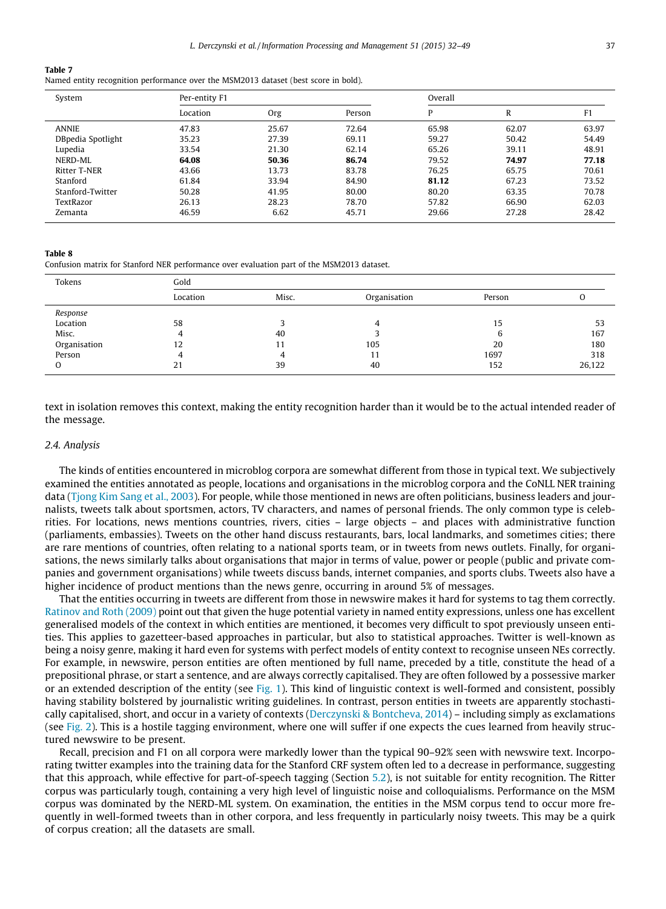<span id="page-5-0"></span>Named entity recognition performance over the MSM2013 dataset (best score in bold).

| System            | Per-entity F1 |       |        | Overall |       |                |  |  |  |  |
|-------------------|---------------|-------|--------|---------|-------|----------------|--|--|--|--|
|                   | Location      | Org   | Person | P       | R     | F <sub>1</sub> |  |  |  |  |
| <b>ANNIE</b>      | 47.83         | 25.67 | 72.64  | 65.98   | 62.07 | 63.97          |  |  |  |  |
| DBpedia Spotlight | 35.23         | 27.39 | 69.11  | 59.27   | 50.42 | 54.49          |  |  |  |  |
| Lupedia           | 33.54         | 21.30 | 62.14  | 65.26   | 39.11 | 48.91          |  |  |  |  |
| NERD-ML           | 64.08         | 50.36 | 86.74  | 79.52   | 74.97 | 77.18          |  |  |  |  |
| Ritter T-NER      | 43.66         | 13.73 | 83.78  | 76.25   | 65.75 | 70.61          |  |  |  |  |
| Stanford          | 61.84         | 33.94 | 84.90  | 81.12   | 67.23 | 73.52          |  |  |  |  |
| Stanford-Twitter  | 50.28         | 41.95 | 80.00  | 80.20   | 63.35 | 70.78          |  |  |  |  |
| TextRazor         | 26.13         | 28.23 | 78.70  | 57.82   | 66.90 | 62.03          |  |  |  |  |
| Zemanta           | 46.59         | 6.62  | 45.71  | 29.66   | 27.28 | 28.42          |  |  |  |  |

#### Table 8

Confusion matrix for Stanford NER performance over evaluation part of the MSM2013 dataset.

| Tokens       | Gold     |       |              |        |        |
|--------------|----------|-------|--------------|--------|--------|
|              | Location | Misc. | Organisation | Person |        |
| Response     |          |       |              |        |        |
| Location     | 58       |       |              | 15     | 53     |
| Misc.        |          | 40    |              | b      | 167    |
| Organisation | 12       | 11    | 105          | 20     | 180    |
| Person       |          |       | 11           | 1697   | 318    |
| O            | 21       | 39    | 40           | 152    | 26,122 |

text in isolation removes this context, making the entity recognition harder than it would be to the actual intended reader of the message.

# 2.4. Analysis

The kinds of entities encountered in microblog corpora are somewhat different from those in typical text. We subjectively examined the entities annotated as people, locations and organisations in the microblog corpora and the CoNLL NER training data [\(Tjong Kim Sang et al., 2003\)](#page-17-0). For people, while those mentioned in news are often politicians, business leaders and journalists, tweets talk about sportsmen, actors, TV characters, and names of personal friends. The only common type is celebrities. For locations, news mentions countries, rivers, cities – large objects – and places with administrative function (parliaments, embassies). Tweets on the other hand discuss restaurants, bars, local landmarks, and sometimes cities; there are rare mentions of countries, often relating to a national sports team, or in tweets from news outlets. Finally, for organisations, the news similarly talks about organisations that major in terms of value, power or people (public and private companies and government organisations) while tweets discuss bands, internet companies, and sports clubs. Tweets also have a higher incidence of product mentions than the news genre, occurring in around 5% of messages.

That the entities occurring in tweets are different from those in newswire makes it hard for systems to tag them correctly. [Ratinov and Roth \(2009\)](#page-17-0) point out that given the huge potential variety in named entity expressions, unless one has excellent generalised models of the context in which entities are mentioned, it becomes very difficult to spot previously unseen entities. This applies to gazetteer-based approaches in particular, but also to statistical approaches. Twitter is well-known as being a noisy genre, making it hard even for systems with perfect models of entity context to recognise unseen NEs correctly. For example, in newswire, person entities are often mentioned by full name, preceded by a title, constitute the head of a prepositional phrase, or start a sentence, and are always correctly capitalised. They are often followed by a possessive marker or an extended description of the entity (see [Fig. 1](#page-6-0)). This kind of linguistic context is well-formed and consistent, possibly having stability bolstered by journalistic writing guidelines. In contrast, person entities in tweets are apparently stochastically capitalised, short, and occur in a variety of contexts [\(Derczynski & Bontcheva, 2014\)](#page-16-0) – including simply as exclamations (see [Fig. 2\)](#page-6-0). This is a hostile tagging environment, where one will suffer if one expects the cues learned from heavily structured newswire to be present.

Recall, precision and F1 on all corpora were markedly lower than the typical 90–92% seen with newswire text. Incorporating twitter examples into the training data for the Stanford CRF system often led to a decrease in performance, suggesting that this approach, while effective for part-of-speech tagging (Section [5.2\)](#page-13-0), is not suitable for entity recognition. The Ritter corpus was particularly tough, containing a very high level of linguistic noise and colloquialisms. Performance on the MSM corpus was dominated by the NERD-ML system. On examination, the entities in the MSM corpus tend to occur more frequently in well-formed tweets than in other corpora, and less frequently in particularly noisy tweets. This may be a quirk of corpus creation; all the datasets are small.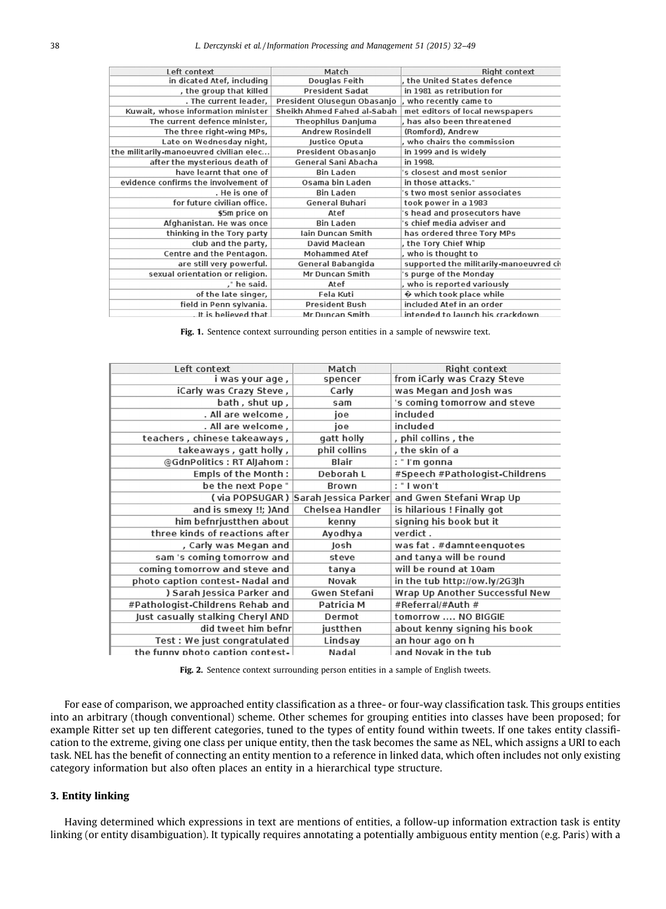<span id="page-6-0"></span>

| Left context                            | Match                       | Right context                           |
|-----------------------------------------|-----------------------------|-----------------------------------------|
| in dicated Atef, including              | Douglas Feith               | , the United States defence             |
| , the group that killed                 | <b>President Sadat</b>      | in 1981 as retribution for              |
| . The current leader,                   | President Olusegun Obasanio | , who recently came to                  |
| Kuwait, whose information minister      | Sheikh Ahmed Fahed al-Sabah | met editors of local newspapers         |
| The current defence minister,           | Theophilus Danjuma          | , has also been threatened              |
| The three right-wing MPs,               | <b>Andrew Rosindell</b>     | (Romford), Andrew                       |
| Late on Wednesday night,                | Justice Oputa               | , who chairs the commission             |
| the militarily-manoeuvred civilian elec | President Obasanjo          | in 1999 and is widely                   |
| after the mysterious death of           | General Sani Abacha         | in 1998.                                |
| have learnt that one of                 | <b>Bin Laden</b>            | s closest and most senior               |
| evidence confirms the involvement of    | Osama bin Laden             | in those attacks."                      |
| . He is one of                          | <b>Bin Laden</b>            | s two most senior associates            |
| for future civilian office.             | <b>General Buhari</b>       | took power in a 1983                    |
| \$5m price on                           | Atef                        | s head and prosecutors have             |
| Afghanistan. He was once                | <b>Bin Laden</b>            | s chief media adviser and               |
| thinking in the Tory party              | Iain Duncan Smith           | has ordered three Tory MPs              |
| club and the party,                     | David Maclean               | , the Tory Chief Whip                   |
| Centre and the Pentagon.                | <b>Mohammed Atef</b>        | , who is thought to                     |
| are still very powerful.                | General Babangida           | supported the militarily-manoeuvred civ |
| sexual orientation or religion.         | Mr Duncan Smith             | s purge of the Monday                   |
| ," he said.                             | Atef                        | , who is reported variously             |
| of the late singer,                     | Fela Kuti                   | ♦ which took place while                |
| field in Penn sylvania.                 | <b>President Bush</b>       | included Atef in an order               |
| It is believed that                     | Mr Duncan Smith             | intended to launch his crackdown        |

Fig. 1. Sentence context surrounding person entities in a sample of newswire text.

| Left context                      | Match                               | <b>Right context</b>           |
|-----------------------------------|-------------------------------------|--------------------------------|
| i was your age,                   | spencer                             | from iCarly was Crazy Steve    |
| iCarly was Crazy Steve,           | Carly                               | was Megan and Josh was         |
| bath, shut up,                    | sam                                 | 's coming tomorrow and steve   |
| . All are welcome ,               | joe                                 | included                       |
| . All are welcome ,               | joe                                 | included                       |
| teachers, chinese takeaways,      | gatt holly                          | , phil collins , the           |
| takeaways , gatt holly ,          | phil collins                        | , the skin of a                |
| @GdnPolitics: RT AlJahom:         | Blair                               | : " I'm gonna                  |
| Empls of the Month:               | Deborah L                           | #Speech #Pathologist-Childrens |
| be the next Pope"                 | Brown                               | : " I won't                    |
|                                   | (via POPSUGAR) Sarah Jessica Parker | and Gwen Stefani Wrap Up       |
| and is smexy !!; )And             | Chelsea Handler                     | is hilarious ! Finally got     |
| him befnrjustthen about           | kenny                               | signing his book but it        |
| three kinds of reactions after    | Ayodhya                             | verdict.                       |
| , Carly was Megan and             | Josh                                | was fat. #damnteenquotes       |
| sam 's coming tomorrow and        | steve                               | and tanya will be round        |
| coming tomorrow and steve and     | tanya                               | will be round at 10am          |
| photo caption contest-Nadal and   | Novak                               | in the tub http://ow.ly/2G3Jh  |
| ) Sarah Jessica Parker and        | Gwen Stefani                        | Wrap Up Another Successful New |
| #Pathologist-Childrens Rehab and  | Patricia M                          | #Referral/#Auth #              |
| Just casually stalking Cheryl AND | Dermot                              | tomorrow  NO BIGGIE            |
| did tweet him befnr               | justthen                            | about kenny signing his book   |
| Test : We just congratulated      | Lindsay                             | an hour ago on h               |
| the funny photo caption contest-  | Nadal                               | and Novak in the tub           |

Fig. 2. Sentence context surrounding person entities in a sample of English tweets.

For ease of comparison, we approached entity classification as a three- or four-way classification task. This groups entities into an arbitrary (though conventional) scheme. Other schemes for grouping entities into classes have been proposed; for example Ritter set up ten different categories, tuned to the types of entity found within tweets. If one takes entity classification to the extreme, giving one class per unique entity, then the task becomes the same as NEL, which assigns a URI to each task. NEL has the benefit of connecting an entity mention to a reference in linked data, which often includes not only existing category information but also often places an entity in a hierarchical type structure.

# 3. Entity linking

Having determined which expressions in text are mentions of entities, a follow-up information extraction task is entity linking (or entity disambiguation). It typically requires annotating a potentially ambiguous entity mention (e.g. Paris) with a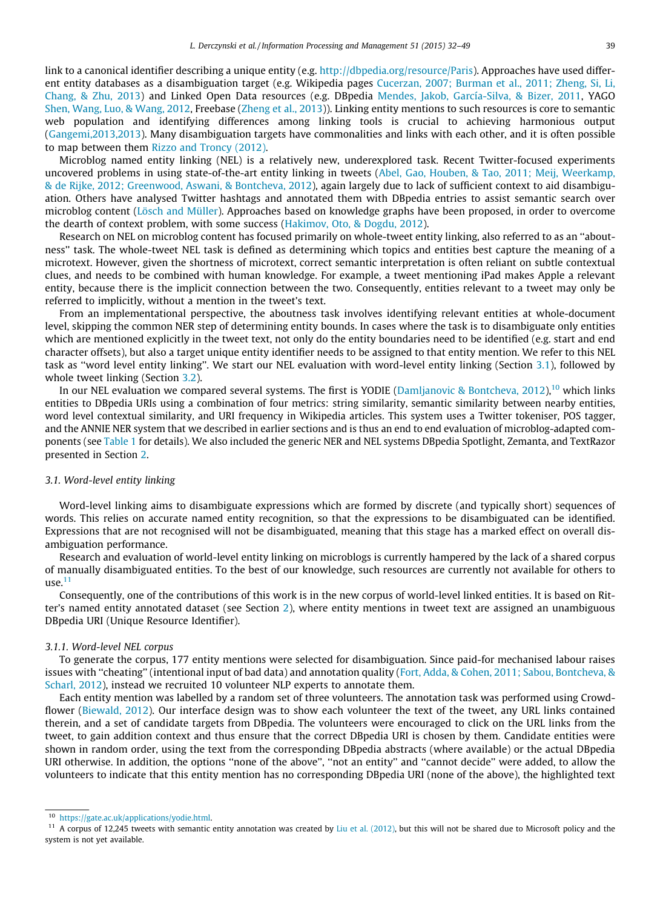<span id="page-7-0"></span>link to a canonical identifier describing a unique entity (e.g. [http://dbpedia.org/resource/Paris\)](http://dbpedia.org/resource/Paris). Approaches have used different entity databases as a disambiguation target (e.g. Wikipedia pages [Cucerzan, 2007; Burman et al., 2011; Zheng, Si, Li,](#page-16-0) [Chang, & Zhu, 2013\)](#page-16-0) and Linked Open Data resources (e.g. DBpedia [Mendes, Jakob, García-Silva, & Bizer, 2011](#page-17-0), YAGO [Shen, Wang, Luo, & Wang, 2012,](#page-17-0) Freebase ([Zheng et al., 2013\)](#page-17-0)). Linking entity mentions to such resources is core to semantic web population and identifying differences among linking tools is crucial to achieving harmonious output ([Gangemi,2013,2013](#page-16-0)). Many disambiguation targets have commonalities and links with each other, and it is often possible to map between them [Rizzo and Troncy \(2012\)](#page-17-0).

Microblog named entity linking (NEL) is a relatively new, underexplored task. Recent Twitter-focused experiments uncovered problems in using state-of-the-art entity linking in tweets ([Abel, Gao, Houben, & Tao, 2011; Meij, Weerkamp,](#page-16-0) [& de Rijke, 2012; Greenwood, Aswani, & Bontcheva, 2012](#page-16-0)), again largely due to lack of sufficient context to aid disambiguation. Others have analysed Twitter hashtags and annotated them with DBpedia entries to assist semantic search over microblog content [\(Lösch and Müller](#page-17-0)). Approaches based on knowledge graphs have been proposed, in order to overcome the dearth of context problem, with some success ([Hakimov, Oto, & Dogdu, 2012\)](#page-16-0).

Research on NEL on microblog content has focused primarily on whole-tweet entity linking, also referred to as an ''aboutness'' task. The whole-tweet NEL task is defined as determining which topics and entities best capture the meaning of a microtext. However, given the shortness of microtext, correct semantic interpretation is often reliant on subtle contextual clues, and needs to be combined with human knowledge. For example, a tweet mentioning iPad makes Apple a relevant entity, because there is the implicit connection between the two. Consequently, entities relevant to a tweet may only be referred to implicitly, without a mention in the tweet's text.

From an implementational perspective, the aboutness task involves identifying relevant entities at whole-document level, skipping the common NER step of determining entity bounds. In cases where the task is to disambiguate only entities which are mentioned explicitly in the tweet text, not only do the entity boundaries need to be identified (e.g. start and end character offsets), but also a target unique entity identifier needs to be assigned to that entity mention. We refer to this NEL task as ''word level entity linking''. We start our NEL evaluation with word-level entity linking (Section 3.1), followed by whole tweet linking (Section [3.2\)](#page-9-0).

In our NEL evaluation we compared several systems. The first is YODIE ([Damljanovic & Bontcheva, 2012\)](#page-16-0),<sup>10</sup> which links entities to DBpedia URIs using a combination of four metrics: string similarity, semantic similarity between nearby entities, word level contextual similarity, and URI frequency in Wikipedia articles. This system uses a Twitter tokeniser, POS tagger, and the ANNIE NER system that we described in earlier sections and is thus an end to end evaluation of microblog-adapted components (see [Table 1](#page-2-0) for details). We also included the generic NER and NEL systems DBpedia Spotlight, Zemanta, and TextRazor presented in Section [2.](#page-1-0)

# 3.1. Word-level entity linking

Word-level linking aims to disambiguate expressions which are formed by discrete (and typically short) sequences of words. This relies on accurate named entity recognition, so that the expressions to be disambiguated can be identified. Expressions that are not recognised will not be disambiguated, meaning that this stage has a marked effect on overall disambiguation performance.

Research and evaluation of world-level entity linking on microblogs is currently hampered by the lack of a shared corpus of manually disambiguated entities. To the best of our knowledge, such resources are currently not available for others to use. $11$ 

Consequently, one of the contributions of this work is in the new corpus of world-level linked entities. It is based on Ritter's named entity annotated dataset (see Section [2](#page-1-0)), where entity mentions in tweet text are assigned an unambiguous DBpedia URI (Unique Resource Identifier).

#### 3.1.1. Word-level NEL corpus

To generate the corpus, 177 entity mentions were selected for disambiguation. Since paid-for mechanised labour raises issues with ''cheating'' (intentional input of bad data) and annotation quality [\(Fort, Adda, & Cohen, 2011; Sabou, Bontcheva, &](#page-16-0) [Scharl, 2012\)](#page-16-0), instead we recruited 10 volunteer NLP experts to annotate them.

Each entity mention was labelled by a random set of three volunteers. The annotation task was performed using Crowdflower [\(Biewald, 2012](#page-16-0)). Our interface design was to show each volunteer the text of the tweet, any URL links contained therein, and a set of candidate targets from DBpedia. The volunteers were encouraged to click on the URL links from the tweet, to gain addition context and thus ensure that the correct DBpedia URI is chosen by them. Candidate entities were shown in random order, using the text from the corresponding DBpedia abstracts (where available) or the actual DBpedia URI otherwise. In addition, the options ''none of the above'', ''not an entity'' and ''cannot decide'' were added, to allow the volunteers to indicate that this entity mention has no corresponding DBpedia URI (none of the above), the highlighted text

<sup>10</sup> <https://gate.ac.uk/applications/yodie.html>.

 $11$  A corpus of 12,245 tweets with semantic entity annotation was created by [Liu et al. \(2012\),](#page-16-0) but this will not be shared due to Microsoft policy and the system is not yet available.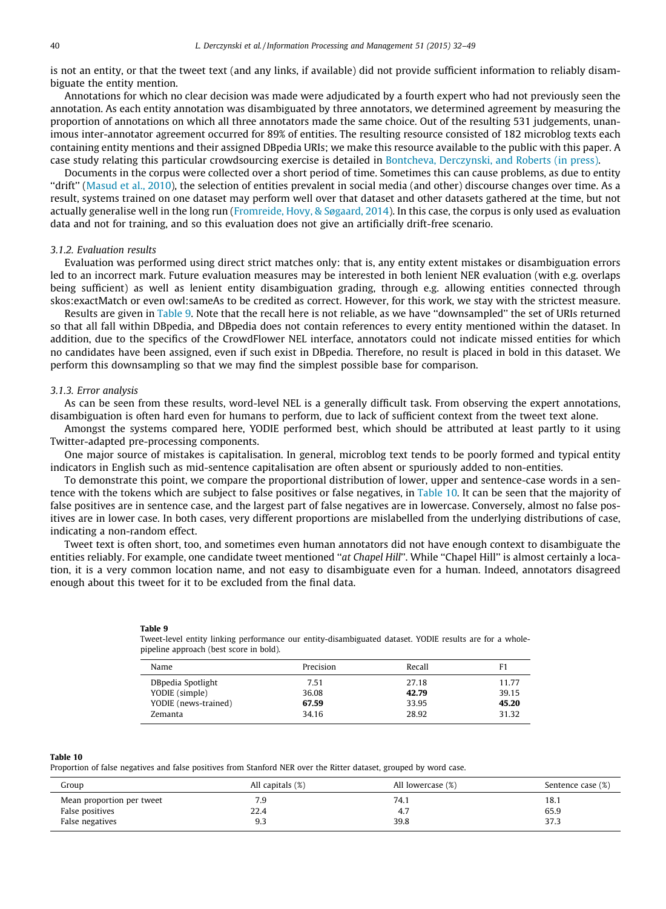is not an entity, or that the tweet text (and any links, if available) did not provide sufficient information to reliably disambiguate the entity mention.

Annotations for which no clear decision was made were adjudicated by a fourth expert who had not previously seen the annotation. As each entity annotation was disambiguated by three annotators, we determined agreement by measuring the proportion of annotations on which all three annotators made the same choice. Out of the resulting 531 judgements, unanimous inter-annotator agreement occurred for 89% of entities. The resulting resource consisted of 182 microblog texts each containing entity mentions and their assigned DBpedia URIs; we make this resource available to the public with this paper. A case study relating this particular crowdsourcing exercise is detailed in [Bontcheva, Derczynski, and Roberts \(in press\)](#page-16-0).

Documents in the corpus were collected over a short period of time. Sometimes this can cause problems, as due to entity ''drift'' ([Masud et al., 2010\)](#page-17-0), the selection of entities prevalent in social media (and other) discourse changes over time. As a result, systems trained on one dataset may perform well over that dataset and other datasets gathered at the time, but not actually generalise well in the long run [\(Fromreide, Hovy, & Søgaard, 2014\)](#page-16-0). In this case, the corpus is only used as evaluation data and not for training, and so this evaluation does not give an artificially drift-free scenario.

# 3.1.2. Evaluation results

Evaluation was performed using direct strict matches only: that is, any entity extent mistakes or disambiguation errors led to an incorrect mark. Future evaluation measures may be interested in both lenient NER evaluation (with e.g. overlaps being sufficient) as well as lenient entity disambiguation grading, through e.g. allowing entities connected through skos:exactMatch or even owl:sameAs to be credited as correct. However, for this work, we stay with the strictest measure.

Results are given in Table 9. Note that the recall here is not reliable, as we have ''downsampled'' the set of URIs returned so that all fall within DBpedia, and DBpedia does not contain references to every entity mentioned within the dataset. In addition, due to the specifics of the CrowdFlower NEL interface, annotators could not indicate missed entities for which no candidates have been assigned, even if such exist in DBpedia. Therefore, no result is placed in bold in this dataset. We perform this downsampling so that we may find the simplest possible base for comparison.

#### 3.1.3. Error analysis

As can be seen from these results, word-level NEL is a generally difficult task. From observing the expert annotations, disambiguation is often hard even for humans to perform, due to lack of sufficient context from the tweet text alone.

Amongst the systems compared here, YODIE performed best, which should be attributed at least partly to it using Twitter-adapted pre-processing components.

One major source of mistakes is capitalisation. In general, microblog text tends to be poorly formed and typical entity indicators in English such as mid-sentence capitalisation are often absent or spuriously added to non-entities.

To demonstrate this point, we compare the proportional distribution of lower, upper and sentence-case words in a sentence with the tokens which are subject to false positives or false negatives, in Table 10. It can be seen that the majority of false positives are in sentence case, and the largest part of false negatives are in lowercase. Conversely, almost no false positives are in lower case. In both cases, very different proportions are mislabelled from the underlying distributions of case, indicating a non-random effect.

Tweet text is often short, too, and sometimes even human annotators did not have enough context to disambiguate the entities reliably. For example, one candidate tweet mentioned "at Chapel Hill". While "Chapel Hill" is almost certainly a location, it is a very common location name, and not easy to disambiguate even for a human. Indeed, annotators disagreed enough about this tweet for it to be excluded from the final data.

#### Table 9

Tweet-level entity linking performance our entity-disambiguated dataset. YODIE results are for a wholepipeline approach (best score in bold).

| Name                 | Precision | Recall | F1    |
|----------------------|-----------|--------|-------|
| DBpedia Spotlight    | 7.51      | 27.18  | 11.77 |
| YODIE (simple)       | 36.08     | 42.79  | 39.15 |
| YODIE (news-trained) | 67.59     | 33.95  | 45.20 |
| Zemanta              | 34.16     | 28.92  | 31.32 |

## Table 10

Proportion of false negatives and false positives from Stanford NER over the Ritter dataset, grouped by word case.

| Group                     | All capitals $(\%)$ | All lowercase (%) | Sentence case (%) |
|---------------------------|---------------------|-------------------|-------------------|
| Mean proportion per tweet | 7.9                 | 74.1              | 18.1              |
| False positives           | 22.4                | 4.7               | 65.9              |
| False negatives           | 9.3                 | 39.8              | 37.3              |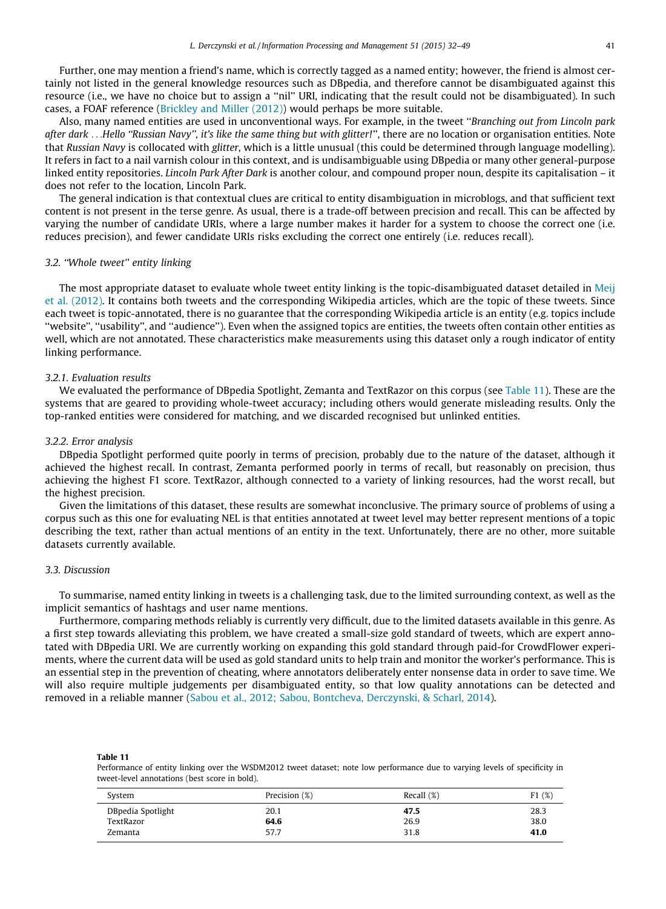<span id="page-9-0"></span>Further, one may mention a friend's name, which is correctly tagged as a named entity; however, the friend is almost certainly not listed in the general knowledge resources such as DBpedia, and therefore cannot be disambiguated against this resource (i.e., we have no choice but to assign a ''nil'' URI, indicating that the result could not be disambiguated). In such cases, a FOAF reference [\(Brickley and Miller \(2012\)](#page-16-0)) would perhaps be more suitable.

Also, many named entities are used in unconventional ways. For example, in the tweet ''Branching out from Lincoln park after dark ...Hello "Russian Navy", it's like the same thing but with glitter!", there are no location or organisation entities. Note that Russian Navy is collocated with glitter, which is a little unusual (this could be determined through language modelling). It refers in fact to a nail varnish colour in this context, and is undisambiguable using DBpedia or many other general-purpose linked entity repositories. Lincoln Park After Dark is another colour, and compound proper noun, despite its capitalisation – it does not refer to the location, Lincoln Park.

The general indication is that contextual clues are critical to entity disambiguation in microblogs, and that sufficient text content is not present in the terse genre. As usual, there is a trade-off between precision and recall. This can be affected by varying the number of candidate URIs, where a large number makes it harder for a system to choose the correct one (i.e. reduces precision), and fewer candidate URIs risks excluding the correct one entirely (i.e. reduces recall).

# 3.2. ''Whole tweet'' entity linking

The most appropriate dataset to evaluate whole tweet entity linking is the topic-disambiguated dataset detailed in [Meij](#page-17-0) [et al. \(2012\).](#page-17-0) It contains both tweets and the corresponding Wikipedia articles, which are the topic of these tweets. Since each tweet is topic-annotated, there is no guarantee that the corresponding Wikipedia article is an entity (e.g. topics include ''website'', ''usability'', and ''audience''). Even when the assigned topics are entities, the tweets often contain other entities as well, which are not annotated. These characteristics make measurements using this dataset only a rough indicator of entity linking performance.

# 3.2.1. Evaluation results

We evaluated the performance of DBpedia Spotlight, Zemanta and TextRazor on this corpus (see Table 11). These are the systems that are geared to providing whole-tweet accuracy; including others would generate misleading results. Only the top-ranked entities were considered for matching, and we discarded recognised but unlinked entities.

# 3.2.2. Error analysis

DBpedia Spotlight performed quite poorly in terms of precision, probably due to the nature of the dataset, although it achieved the highest recall. In contrast, Zemanta performed poorly in terms of recall, but reasonably on precision, thus achieving the highest F1 score. TextRazor, although connected to a variety of linking resources, had the worst recall, but the highest precision.

Given the limitations of this dataset, these results are somewhat inconclusive. The primary source of problems of using a corpus such as this one for evaluating NEL is that entities annotated at tweet level may better represent mentions of a topic describing the text, rather than actual mentions of an entity in the text. Unfortunately, there are no other, more suitable datasets currently available.

# 3.3. Discussion

To summarise, named entity linking in tweets is a challenging task, due to the limited surrounding context, as well as the implicit semantics of hashtags and user name mentions.

Furthermore, comparing methods reliably is currently very difficult, due to the limited datasets available in this genre. As a first step towards alleviating this problem, we have created a small-size gold standard of tweets, which are expert annotated with DBpedia URI. We are currently working on expanding this gold standard through paid-for CrowdFlower experiments, where the current data will be used as gold standard units to help train and monitor the worker's performance. This is an essential step in the prevention of cheating, where annotators deliberately enter nonsense data in order to save time. We will also require multiple judgements per disambiguated entity, so that low quality annotations can be detected and removed in a reliable manner ([Sabou et al., 2012; Sabou, Bontcheva, Derczynski, & Scharl, 2014\)](#page-17-0).

#### Table 11

Performance of entity linking over the WSDM2012 tweet dataset; note low performance due to varying levels of specificity in tweet-level annotations (best score in bold).

| System            | Precision (%) | Recall $(\%)$ | F1(%) |
|-------------------|---------------|---------------|-------|
| DBpedia Spotlight | 20.1          | 47.5          | 28.3  |
| TextRazor         | 64.6          | 26.9          | 38.0  |
| Zemanta           | 57.7          | 31.8          | 41.0  |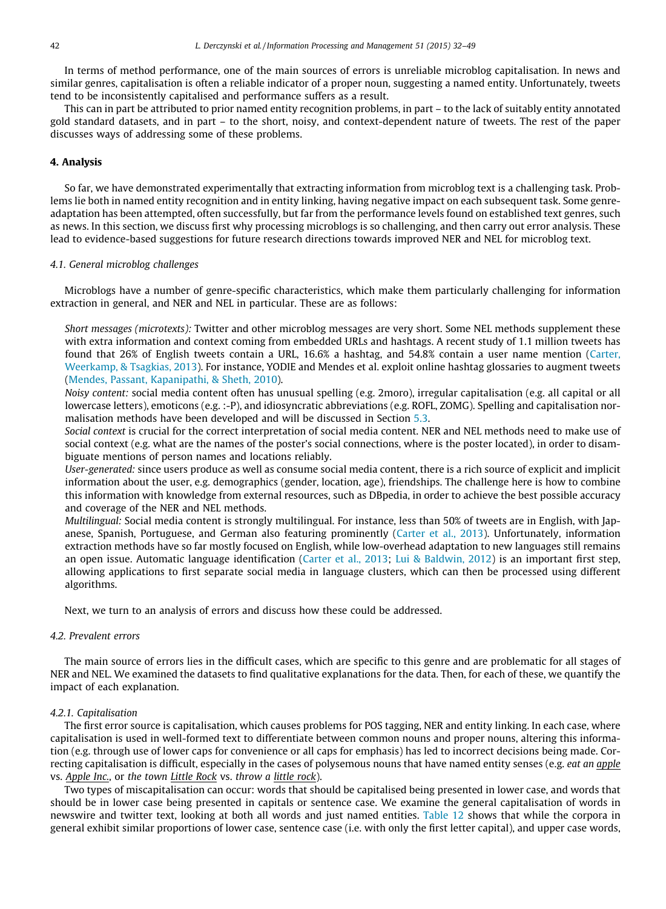<span id="page-10-0"></span>In terms of method performance, one of the main sources of errors is unreliable microblog capitalisation. In news and similar genres, capitalisation is often a reliable indicator of a proper noun, suggesting a named entity. Unfortunately, tweets tend to be inconsistently capitalised and performance suffers as a result.

This can in part be attributed to prior named entity recognition problems, in part – to the lack of suitably entity annotated gold standard datasets, and in part – to the short, noisy, and context-dependent nature of tweets. The rest of the paper discusses ways of addressing some of these problems.

# 4. Analysis

So far, we have demonstrated experimentally that extracting information from microblog text is a challenging task. Problems lie both in named entity recognition and in entity linking, having negative impact on each subsequent task. Some genreadaptation has been attempted, often successfully, but far from the performance levels found on established text genres, such as news. In this section, we discuss first why processing microblogs is so challenging, and then carry out error analysis. These lead to evidence-based suggestions for future research directions towards improved NER and NEL for microblog text.

# 4.1. General microblog challenges

Microblogs have a number of genre-specific characteristics, which make them particularly challenging for information extraction in general, and NER and NEL in particular. These are as follows:

Short messages (microtexts): Twitter and other microblog messages are very short. Some NEL methods supplement these with extra information and context coming from embedded URLs and hashtags. A recent study of 1.1 million tweets has found that 26% of English tweets contain a URL, 16.6% a hashtag, and 54.8% contain a user name mention [\(Carter,](#page-16-0) [Weerkamp, & Tsagkias, 2013](#page-16-0)). For instance, YODIE and Mendes et al. exploit online hashtag glossaries to augment tweets [\(Mendes, Passant, Kapanipathi, & Sheth, 2010\)](#page-17-0).

Noisy content: social media content often has unusual spelling (e.g. 2moro), irregular capitalisation (e.g. all capital or all lowercase letters), emoticons (e.g. :-P), and idiosyncratic abbreviations (e.g. ROFL, ZOMG). Spelling and capitalisation normalisation methods have been developed and will be discussed in Section [5.3.](#page-14-0)

Social context is crucial for the correct interpretation of social media content. NER and NEL methods need to make use of social context (e.g. what are the names of the poster's social connections, where is the poster located), in order to disambiguate mentions of person names and locations reliably.

User-generated: since users produce as well as consume social media content, there is a rich source of explicit and implicit information about the user, e.g. demographics (gender, location, age), friendships. The challenge here is how to combine this information with knowledge from external resources, such as DBpedia, in order to achieve the best possible accuracy and coverage of the NER and NEL methods.

Multilingual: Social media content is strongly multilingual. For instance, less than 50% of tweets are in English, with Japanese, Spanish, Portuguese, and German also featuring prominently [\(Carter et al., 2013](#page-16-0)). Unfortunately, information extraction methods have so far mostly focused on English, while low-overhead adaptation to new languages still remains an open issue. Automatic language identification ([Carter et al., 2013](#page-16-0); [Lui & Baldwin, 2012](#page-17-0)) is an important first step, allowing applications to first separate social media in language clusters, which can then be processed using different algorithms.

Next, we turn to an analysis of errors and discuss how these could be addressed.

## 4.2. Prevalent errors

The main source of errors lies in the difficult cases, which are specific to this genre and are problematic for all stages of NER and NEL. We examined the datasets to find qualitative explanations for the data. Then, for each of these, we quantify the impact of each explanation.

## 4.2.1. Capitalisation

The first error source is capitalisation, which causes problems for POS tagging, NER and entity linking. In each case, where capitalisation is used in well-formed text to differentiate between common nouns and proper nouns, altering this information (e.g. through use of lower caps for convenience or all caps for emphasis) has led to incorrect decisions being made. Correcting capitalisation is difficult, especially in the cases of polysemous nouns that have named entity senses (e.g. eat an apple vs. Apple Inc., or the town Little Rock vs. throw a little rock).

Two types of miscapitalisation can occur: words that should be capitalised being presented in lower case, and words that should be in lower case being presented in capitals or sentence case. We examine the general capitalisation of words in newswire and twitter text, looking at both all words and just named entities. [Table 12](#page-11-0) shows that while the corpora in general exhibit similar proportions of lower case, sentence case (i.e. with only the first letter capital), and upper case words,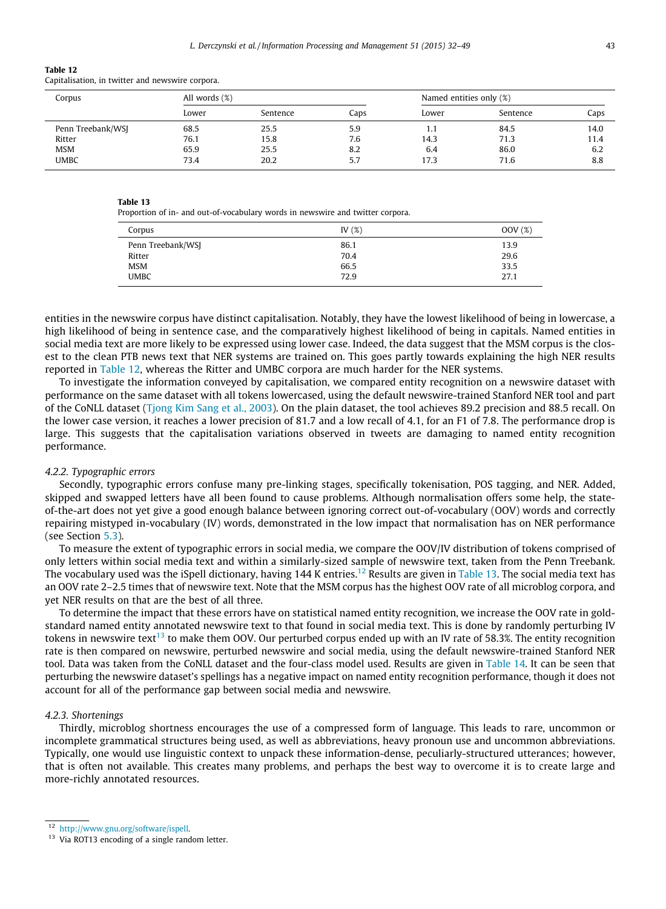<span id="page-11-0"></span>

| Table | 12 |
|-------|----|
|-------|----|

Capitalisation, in twitter and newswire corpora.

| All words $(\%)$<br>Corpus |       |          |      | Named entities only (%) |          |      |
|----------------------------|-------|----------|------|-------------------------|----------|------|
|                            | Lower | Sentence | Caps | Lower                   | Sentence | Caps |
| Penn Treebank/WSJ          | 68.5  | 25.5     | 5.9  | 1.1                     | 84.5     | 14.0 |
| Ritter                     | 76.1  | 15.8     | 7.6  | 14.3                    | 71.3     | 11.4 |
| <b>MSM</b>                 | 65.9  | 25.5     | 8.2  | 6.4                     | 86.0     | 6.2  |
| <b>UMBC</b>                | 73.4  | 20.2     | 5.7  | 17.3                    | 71.6     | 8.8  |

# Table 13

Proportion of in- and out-of-vocabulary words in newswire and twitter corpora.

| Corpus            | IV $(%)$ | OOV (%) |
|-------------------|----------|---------|
| Penn Treebank/WSJ | 86.1     | 13.9    |
| Ritter            | 70.4     | 29.6    |
| <b>MSM</b>        | 66.5     | 33.5    |
| <b>UMBC</b>       | 72.9     | 27.1    |

entities in the newswire corpus have distinct capitalisation. Notably, they have the lowest likelihood of being in lowercase, a high likelihood of being in sentence case, and the comparatively highest likelihood of being in capitals. Named entities in social media text are more likely to be expressed using lower case. Indeed, the data suggest that the MSM corpus is the closest to the clean PTB news text that NER systems are trained on. This goes partly towards explaining the high NER results reported in Table 12, whereas the Ritter and UMBC corpora are much harder for the NER systems.

To investigate the information conveyed by capitalisation, we compared entity recognition on a newswire dataset with performance on the same dataset with all tokens lowercased, using the default newswire-trained Stanford NER tool and part of the CoNLL dataset [\(Tjong Kim Sang et al., 2003\)](#page-17-0). On the plain dataset, the tool achieves 89.2 precision and 88.5 recall. On the lower case version, it reaches a lower precision of 81.7 and a low recall of 4.1, for an F1 of 7.8. The performance drop is large. This suggests that the capitalisation variations observed in tweets are damaging to named entity recognition performance.

## 4.2.2. Typographic errors

Secondly, typographic errors confuse many pre-linking stages, specifically tokenisation, POS tagging, and NER. Added, skipped and swapped letters have all been found to cause problems. Although normalisation offers some help, the stateof-the-art does not yet give a good enough balance between ignoring correct out-of-vocabulary (OOV) words and correctly repairing mistyped in-vocabulary (IV) words, demonstrated in the low impact that normalisation has on NER performance (see Section [5.3](#page-14-0)).

To measure the extent of typographic errors in social media, we compare the OOV/IV distribution of tokens comprised of only letters within social media text and within a similarly-sized sample of newswire text, taken from the Penn Treebank. The vocabulary used was the iSpell dictionary, having 144 K entries.<sup>12</sup> Results are given in Table 13. The social media text has an OOV rate 2–2.5 times that of newswire text. Note that the MSM corpus has the highest OOV rate of all microblog corpora, and yet NER results on that are the best of all three.

To determine the impact that these errors have on statistical named entity recognition, we increase the OOV rate in goldstandard named entity annotated newswire text to that found in social media text. This is done by randomly perturbing IV tokens in newswire text<sup>13</sup> to make them OOV. Our perturbed corpus ended up with an IV rate of 58.3%. The entity recognition rate is then compared on newswire, perturbed newswire and social media, using the default newswire-trained Stanford NER tool. Data was taken from the CoNLL dataset and the four-class model used. Results are given in [Table 14.](#page-12-0) It can be seen that perturbing the newswire dataset's spellings has a negative impact on named entity recognition performance, though it does not account for all of the performance gap between social media and newswire.

# 4.2.3. Shortenings

Thirdly, microblog shortness encourages the use of a compressed form of language. This leads to rare, uncommon or incomplete grammatical structures being used, as well as abbreviations, heavy pronoun use and uncommon abbreviations. Typically, one would use linguistic context to unpack these information-dense, peculiarly-structured utterances; however, that is often not available. This creates many problems, and perhaps the best way to overcome it is to create large and more-richly annotated resources.

<sup>12</sup> <http://www.gnu.org/software/ispell>.

<sup>&</sup>lt;sup>13</sup> Via ROT13 encoding of a single random letter.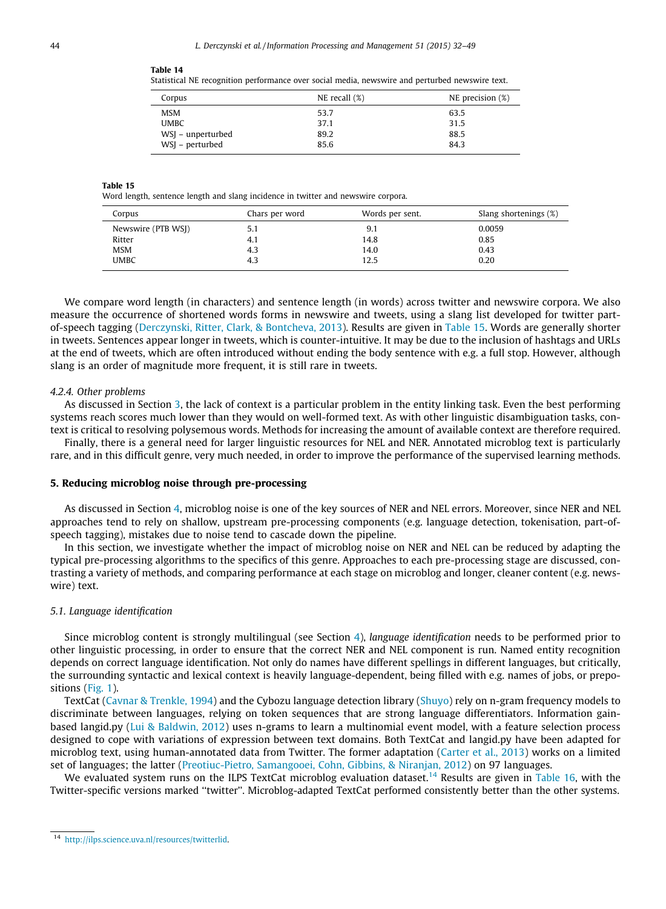<span id="page-12-0"></span>Statistical NE recognition performance over social media, newswire and perturbed newswire text.

| Corpus            | NE recall $(\%)$ | NE precision (%) |
|-------------------|------------------|------------------|
| <b>MSM</b>        | 53.7             | 63.5             |
| UMBC              | 37.1             | 31.5             |
| WSJ – unperturbed | 89.2             | 88.5             |
| WSI - perturbed   | 85.6             | 84.3             |

#### Table 15

Word length, sentence length and slang incidence in twitter and newswire corpora.

| Corpus             | Chars per word | Words per sent. | Slang shortenings (%) |
|--------------------|----------------|-----------------|-----------------------|
| Newswire (PTB WSJ) | 5.1            | 9.1             | 0.0059                |
| Ritter             | 4.1            | 14.8            | 0.85                  |
| <b>MSM</b>         | 4.3            | 14.0            | 0.43                  |
| <b>UMBC</b>        | 4.3            | 12.5            | 0.20                  |
|                    |                |                 |                       |

We compare word length (in characters) and sentence length (in words) across twitter and newswire corpora. We also measure the occurrence of shortened words forms in newswire and tweets, using a slang list developed for twitter partof-speech tagging ([Derczynski, Ritter, Clark, & Bontcheva, 2013\)](#page-16-0). Results are given in Table 15. Words are generally shorter in tweets. Sentences appear longer in tweets, which is counter-intuitive. It may be due to the inclusion of hashtags and URLs at the end of tweets, which are often introduced without ending the body sentence with e.g. a full stop. However, although slang is an order of magnitude more frequent, it is still rare in tweets.

### 4.2.4. Other problems

As discussed in Section [3,](#page-6-0) the lack of context is a particular problem in the entity linking task. Even the best performing systems reach scores much lower than they would on well-formed text. As with other linguistic disambiguation tasks, context is critical to resolving polysemous words. Methods for increasing the amount of available context are therefore required.

Finally, there is a general need for larger linguistic resources for NEL and NER. Annotated microblog text is particularly rare, and in this difficult genre, very much needed, in order to improve the performance of the supervised learning methods.

# 5. Reducing microblog noise through pre-processing

As discussed in Section [4,](#page-10-0) microblog noise is one of the key sources of NER and NEL errors. Moreover, since NER and NEL approaches tend to rely on shallow, upstream pre-processing components (e.g. language detection, tokenisation, part-ofspeech tagging), mistakes due to noise tend to cascade down the pipeline.

In this section, we investigate whether the impact of microblog noise on NER and NEL can be reduced by adapting the typical pre-processing algorithms to the specifics of this genre. Approaches to each pre-processing stage are discussed, contrasting a variety of methods, and comparing performance at each stage on microblog and longer, cleaner content (e.g. newswire) text.

## 5.1. Language identification

Since microblog content is strongly multilingual (see Section [4](#page-10-0)), language identification needs to be performed prior to other linguistic processing, in order to ensure that the correct NER and NEL component is run. Named entity recognition depends on correct language identification. Not only do names have different spellings in different languages, but critically, the surrounding syntactic and lexical context is heavily language-dependent, being filled with e.g. names of jobs, or prepositions ([Fig. 1](#page-6-0)).

TextCat ([Cavnar & Trenkle, 1994](#page-16-0)) and the Cybozu language detection library ([Shuyo](#page-17-0)) rely on n-gram frequency models to discriminate between languages, relying on token sequences that are strong language differentiators. Information gainbased langid.py [\(Lui & Baldwin, 2012](#page-17-0)) uses n-grams to learn a multinomial event model, with a feature selection process designed to cope with variations of expression between text domains. Both TextCat and langid.py have been adapted for microblog text, using human-annotated data from Twitter. The former adaptation ([Carter et al., 2013](#page-16-0)) works on a limited set of languages; the latter ([Preotiuc-Pietro, Samangooei, Cohn, Gibbins, & Niranjan, 2012](#page-17-0)) on 97 languages.

We evaluated system runs on the ILPS TextCat microblog evaluation dataset.<sup>14</sup> Results are given in [Table 16](#page-13-0), with the Twitter-specific versions marked ''twitter''. Microblog-adapted TextCat performed consistently better than the other systems.

<sup>14</sup> [http://ilps.science.uva.nl/resources/twitterlid.](http://ilps.science.uva.nl/resources/twitterlid)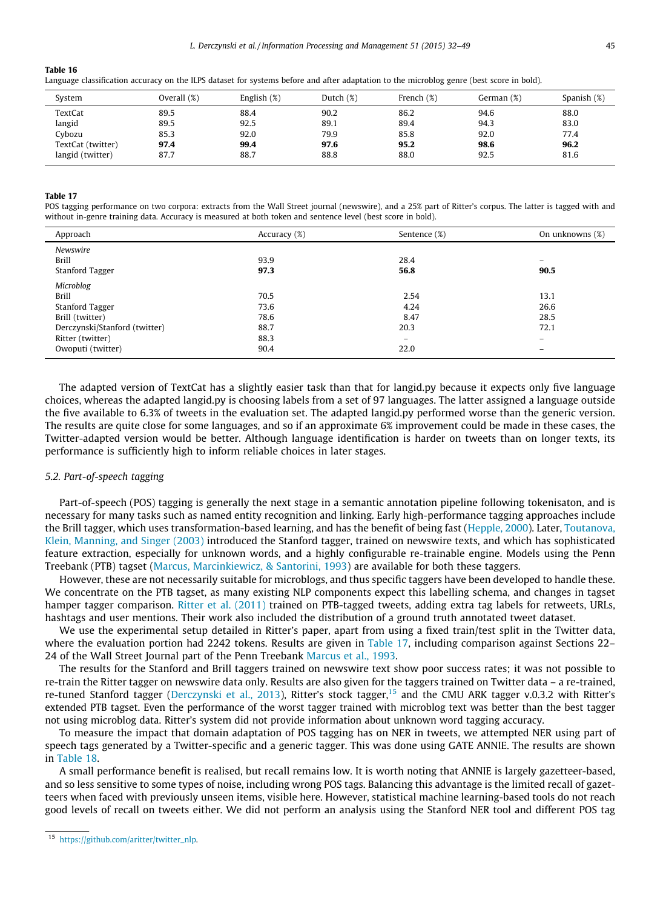<span id="page-13-0"></span>Language classification accuracy on the ILPS dataset for systems before and after adaptation to the microblog genre (best score in bold).

| System            | Overall (%) | English $(\%)$ | Dutch $(\%)$ | French (%) | German (%) | Spanish $(\%)$ |
|-------------------|-------------|----------------|--------------|------------|------------|----------------|
| TextCat           | 89.5        | 88.4           | 90.2         | 86.2       | 94.6       | 88.0           |
| langid            | 89.5        | 92.5           | 89.1         | 89.4       | 94.3       | 83.0           |
| Cybozu            | 85.3        | 92.0           | 79.9         | 85.8       | 92.0       | 77.4           |
| TextCat (twitter) | 97.4        | 99.4           | 97.6         | 95.2       | 98.6       | 96.2           |
| langid (twitter)  | 87.7        | 88.7           | 88.8         | 88.0       | 92.5       | 81.6           |

#### Table 17

POS tagging performance on two corpora: extracts from the Wall Street journal (newswire), and a 25% part of Ritter's corpus. The latter is tagged with and without in-genre training data. Accuracy is measured at both token and sentence level (best score in bold).

| Approach                      | Accuracy (%) | Sentence (%) | On unknowns (%)          |
|-------------------------------|--------------|--------------|--------------------------|
| Newswire                      |              |              |                          |
| Brill                         | 93.9         | 28.4         | $-$                      |
| Stanford Tagger               | 97.3         | 56.8         | 90.5                     |
| Microblog                     |              |              |                          |
| Brill                         | 70.5         | 2.54         | 13.1                     |
| Stanford Tagger               | 73.6         | 4.24         | 26.6                     |
| Brill (twitter)               | 78.6         | 8.47         | 28.5                     |
| Derczynski/Stanford (twitter) | 88.7         | 20.3         | 72.1                     |
| Ritter (twitter)              | 88.3         | -            | $\overline{\phantom{0}}$ |
| Owoputi (twitter)             | 90.4         | 22.0         | $\overline{\phantom{0}}$ |

The adapted version of TextCat has a slightly easier task than that for langid.py because it expects only five language choices, whereas the adapted langid.py is choosing labels from a set of 97 languages. The latter assigned a language outside the five available to 6.3% of tweets in the evaluation set. The adapted langid.py performed worse than the generic version. The results are quite close for some languages, and so if an approximate 6% improvement could be made in these cases, the Twitter-adapted version would be better. Although language identification is harder on tweets than on longer texts, its performance is sufficiently high to inform reliable choices in later stages.

#### 5.2. Part-of-speech tagging

Part-of-speech (POS) tagging is generally the next stage in a semantic annotation pipeline following tokenisaton, and is necessary for many tasks such as named entity recognition and linking. Early high-performance tagging approaches include the Brill tagger, which uses transformation-based learning, and has the benefit of being fast ([Hepple, 2000\)](#page-16-0). Later, [Toutanova,](#page-17-0) [Klein, Manning, and Singer \(2003\)](#page-17-0) introduced the Stanford tagger, trained on newswire texts, and which has sophisticated feature extraction, especially for unknown words, and a highly configurable re-trainable engine. Models using the Penn Treebank (PTB) tagset ([Marcus, Marcinkiewicz, & Santorini, 1993\)](#page-17-0) are available for both these taggers.

However, these are not necessarily suitable for microblogs, and thus specific taggers have been developed to handle these. We concentrate on the PTB tagset, as many existing NLP components expect this labelling schema, and changes in tagset hamper tagger comparison. [Ritter et al. \(2011\)](#page-17-0) trained on PTB-tagged tweets, adding extra tag labels for retweets, URLs, hashtags and user mentions. Their work also included the distribution of a ground truth annotated tweet dataset.

We use the experimental setup detailed in Ritter's paper, apart from using a fixed train/test split in the Twitter data, where the evaluation portion had 2242 tokens. Results are given in Table 17, including comparison against Sections 22– 24 of the Wall Street Journal part of the Penn Treebank [Marcus et al., 1993](#page-17-0).

The results for the Stanford and Brill taggers trained on newswire text show poor success rates; it was not possible to re-train the Ritter tagger on newswire data only. Results are also given for the taggers trained on Twitter data – a re-trained, re-tuned Stanford tagger ([Derczynski et al., 2013](#page-16-0)), Ritter's stock tagger,<sup>15</sup> and the CMU ARK tagger v.0.3.2 with Ritter's extended PTB tagset. Even the performance of the worst tagger trained with microblog text was better than the best tagger not using microblog data. Ritter's system did not provide information about unknown word tagging accuracy.

To measure the impact that domain adaptation of POS tagging has on NER in tweets, we attempted NER using part of speech tags generated by a Twitter-specific and a generic tagger. This was done using GATE ANNIE. The results are shown in [Table 18](#page-14-0).

A small performance benefit is realised, but recall remains low. It is worth noting that ANNIE is largely gazetteer-based, and so less sensitive to some types of noise, including wrong POS tags. Balancing this advantage is the limited recall of gazetteers when faced with previously unseen items, visible here. However, statistical machine learning-based tools do not reach good levels of recall on tweets either. We did not perform an analysis using the Stanford NER tool and different POS tag

<sup>15</sup> [https://github.com/aritter/twitter\\_nlp](https://github.com/aritter/twitter_nlp).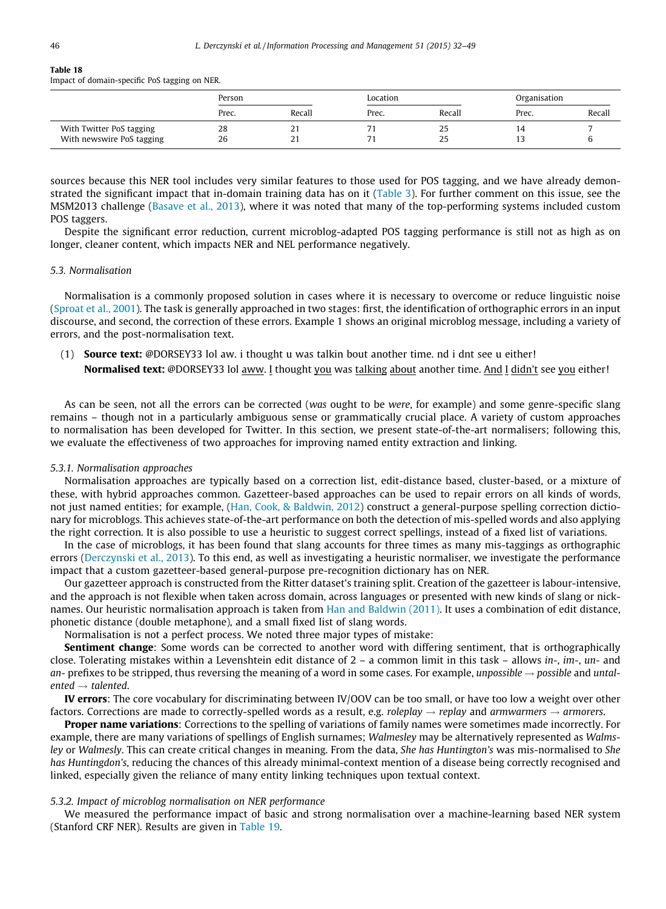<span id="page-14-0"></span>Impact of domain-specific PoS tagging on NER.

|                           | Person |        |       | Location |       | Organisation |  |
|---------------------------|--------|--------|-------|----------|-------|--------------|--|
|                           | Prec.  | Recall | Prec. | Recall   | Prec. | Recall       |  |
| With Twitter PoS tagging  | 28     | 21     | 71    | 25       | 14    |              |  |
| With newswire PoS tagging | 26     | 21     | 71    | 25       | . .   |              |  |

sources because this NER tool includes very similar features to those used for POS tagging, and we have already demonstrated the significant impact that in-domain training data has on it [\(Table 3](#page-4-0)). For further comment on this issue, see the MSM2013 challenge ([Basave et al., 2013](#page-16-0)), where it was noted that many of the top-performing systems included custom POS taggers.

Despite the significant error reduction, current microblog-adapted POS tagging performance is still not as high as on longer, cleaner content, which impacts NER and NEL performance negatively.

# 5.3. Normalisation

Normalisation is a commonly proposed solution in cases where it is necessary to overcome or reduce linguistic noise [\(Sproat et al., 2001](#page-17-0)). The task is generally approached in two stages: first, the identification of orthographic errors in an input discourse, and second, the correction of these errors. Example 1 shows an original microblog message, including a variety of errors, and the post-normalisation text.

(1) Source text: @DORSEY33 lol aw. i thought u was talkin bout another time. nd i dnt see u either! Normalised text: @DORSEY33 lol aww. I thought you was talking about another time. And I didn't see you either!

As can be seen, not all the errors can be corrected (was ought to be were, for example) and some genre-specific slang remains – though not in a particularly ambiguous sense or grammatically crucial place. A variety of custom approaches to normalisation has been developed for Twitter. In this section, we present state-of-the-art normalisers; following this, we evaluate the effectiveness of two approaches for improving named entity extraction and linking.

#### 5.3.1. Normalisation approaches

Normalisation approaches are typically based on a correction list, edit-distance based, cluster-based, or a mixture of these, with hybrid approaches common. Gazetteer-based approaches can be used to repair errors on all kinds of words, not just named entities; for example, ([Han, Cook, & Baldwin, 2012](#page-16-0)) construct a general-purpose spelling correction dictionary for microblogs. This achieves state-of-the-art performance on both the detection of mis-spelled words and also applying the right correction. It is also possible to use a heuristic to suggest correct spellings, instead of a fixed list of variations.

In the case of microblogs, it has been found that slang accounts for three times as many mis-taggings as orthographic errors [\(Derczynski et al., 2013\)](#page-16-0). To this end, as well as investigating a heuristic normaliser, we investigate the performance impact that a custom gazetteer-based general-purpose pre-recognition dictionary has on NER.

Our gazetteer approach is constructed from the Ritter dataset's training split. Creation of the gazetteer is labour-intensive, and the approach is not flexible when taken across domain, across languages or presented with new kinds of slang or nicknames. Our heuristic normalisation approach is taken from [Han and Baldwin \(2011\)](#page-16-0). It uses a combination of edit distance, phonetic distance (double metaphone), and a small fixed list of slang words.

Normalisation is not a perfect process. We noted three major types of mistake:

Sentiment change: Some words can be corrected to another word with differing sentiment, that is orthographically close. Tolerating mistakes within a Levenshtein edit distance of  $2 - a$  common limit in this task – allows in-, im-, un- and an- prefixes to be stripped, thus reversing the meaning of a word in some cases. For example, unpossible  $\rightarrow$  possible and untalented  $\rightarrow$  talented.

**IV errors**: The core vocabulary for discriminating between IV/OOV can be too small, or have too low a weight over other factors. Corrections are made to correctly-spelled words as a result, e.g. roleplay  $\rightarrow$  replay and armwarmers  $\rightarrow$  armorers.

Proper name variations: Corrections to the spelling of variations of family names were sometimes made incorrectly. For example, there are many variations of spellings of English surnames; Walmesley may be alternatively represented as Walmsley or Walmesly. This can create critical changes in meaning. From the data, She has Huntington's was mis-normalised to She has Huntingdon's, reducing the chances of this already minimal-context mention of a disease being correctly recognised and linked, especially given the reliance of many entity linking techniques upon textual context.

# 5.3.2. Impact of microblog normalisation on NER performance

We measured the performance impact of basic and strong normalisation over a machine-learning based NER system (Stanford CRF NER). Results are given in [Table 19.](#page-15-0)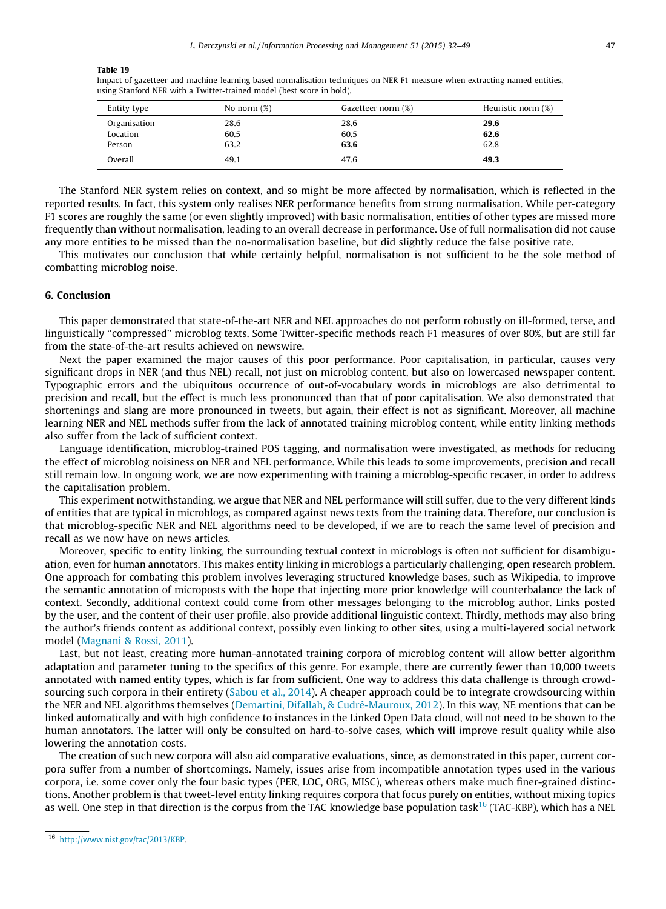<span id="page-15-0"></span>Impact of gazetteer and machine-learning based normalisation techniques on NER F1 measure when extracting named entities, using Stanford NER with a Twitter-trained model (best score in bold).

| Entity type  | No norm $(\%)$ | Gazetteer norm (%) | Heuristic norm (%) |
|--------------|----------------|--------------------|--------------------|
| Organisation | 28.6           | 28.6               | 29.6               |
| Location     | 60.5           | 60.5               | 62.6               |
| Person       | 63.2           | 63.6               | 62.8               |
| Overall      | 49.1           | 47.6               | 49.3               |

The Stanford NER system relies on context, and so might be more affected by normalisation, which is reflected in the reported results. In fact, this system only realises NER performance benefits from strong normalisation. While per-category F1 scores are roughly the same (or even slightly improved) with basic normalisation, entities of other types are missed more frequently than without normalisation, leading to an overall decrease in performance. Use of full normalisation did not cause any more entities to be missed than the no-normalisation baseline, but did slightly reduce the false positive rate.

This motivates our conclusion that while certainly helpful, normalisation is not sufficient to be the sole method of combatting microblog noise.

## 6. Conclusion

This paper demonstrated that state-of-the-art NER and NEL approaches do not perform robustly on ill-formed, terse, and linguistically ''compressed'' microblog texts. Some Twitter-specific methods reach F1 measures of over 80%, but are still far from the state-of-the-art results achieved on newswire.

Next the paper examined the major causes of this poor performance. Poor capitalisation, in particular, causes very significant drops in NER (and thus NEL) recall, not just on microblog content, but also on lowercased newspaper content. Typographic errors and the ubiquitous occurrence of out-of-vocabulary words in microblogs are also detrimental to precision and recall, but the effect is much less prononunced than that of poor capitalisation. We also demonstrated that shortenings and slang are more pronounced in tweets, but again, their effect is not as significant. Moreover, all machine learning NER and NEL methods suffer from the lack of annotated training microblog content, while entity linking methods also suffer from the lack of sufficient context.

Language identification, microblog-trained POS tagging, and normalisation were investigated, as methods for reducing the effect of microblog noisiness on NER and NEL performance. While this leads to some improvements, precision and recall still remain low. In ongoing work, we are now experimenting with training a microblog-specific recaser, in order to address the capitalisation problem.

This experiment notwithstanding, we argue that NER and NEL performance will still suffer, due to the very different kinds of entities that are typical in microblogs, as compared against news texts from the training data. Therefore, our conclusion is that microblog-specific NER and NEL algorithms need to be developed, if we are to reach the same level of precision and recall as we now have on news articles.

Moreover, specific to entity linking, the surrounding textual context in microblogs is often not sufficient for disambiguation, even for human annotators. This makes entity linking in microblogs a particularly challenging, open research problem. One approach for combating this problem involves leveraging structured knowledge bases, such as Wikipedia, to improve the semantic annotation of microposts with the hope that injecting more prior knowledge will counterbalance the lack of context. Secondly, additional context could come from other messages belonging to the microblog author. Links posted by the user, and the content of their user profile, also provide additional linguistic context. Thirdly, methods may also bring the author's friends content as additional context, possibly even linking to other sites, using a multi-layered social network model [\(Magnani & Rossi, 2011](#page-17-0)).

Last, but not least, creating more human-annotated training corpora of microblog content will allow better algorithm adaptation and parameter tuning to the specifics of this genre. For example, there are currently fewer than 10,000 tweets annotated with named entity types, which is far from sufficient. One way to address this data challenge is through crowd-sourcing such corpora in their entirety ([Sabou et al., 2014\)](#page-17-0). A cheaper approach could be to integrate crowdsourcing within the NER and NEL algorithms themselves [\(Demartini, Difallah, & Cudré-Mauroux, 2012\)](#page-16-0). In this way, NE mentions that can be linked automatically and with high confidence to instances in the Linked Open Data cloud, will not need to be shown to the human annotators. The latter will only be consulted on hard-to-solve cases, which will improve result quality while also lowering the annotation costs.

The creation of such new corpora will also aid comparative evaluations, since, as demonstrated in this paper, current corpora suffer from a number of shortcomings. Namely, issues arise from incompatible annotation types used in the various corpora, i.e. some cover only the four basic types (PER, LOC, ORG, MISC), whereas others make much finer-grained distinctions. Another problem is that tweet-level entity linking requires corpora that focus purely on entities, without mixing topics as well. One step in that direction is the corpus from the TAC knowledge base population task<sup>16</sup> (TAC-KBP), which has a NEL

<sup>16</sup> [http://www.nist.gov/tac/2013/KBP.](http://www.nist.gov/tac/2013/KBP)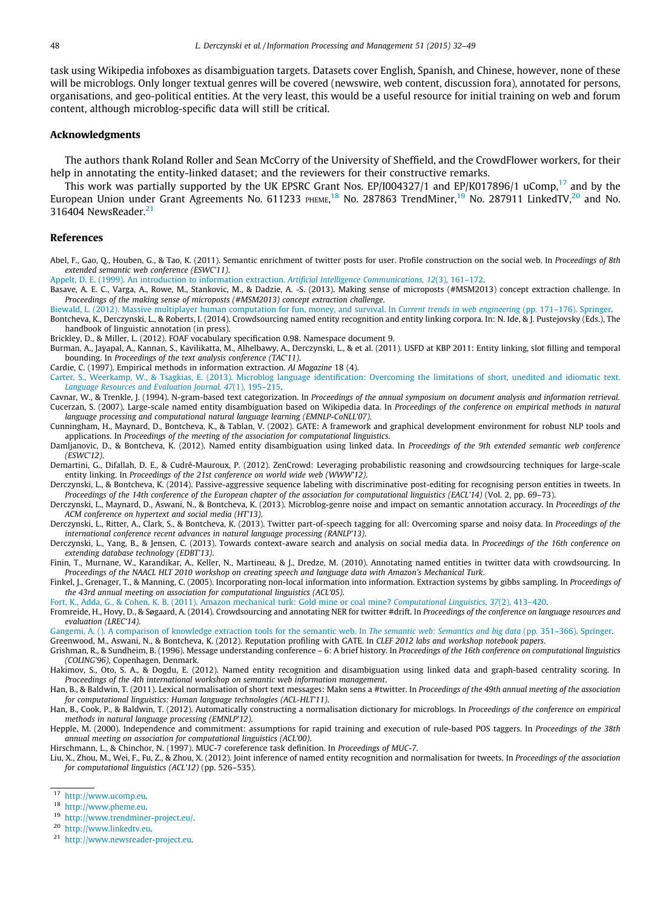<span id="page-16-0"></span>task using Wikipedia infoboxes as disambiguation targets. Datasets cover English, Spanish, and Chinese, however, none of these will be microblogs. Only longer textual genres will be covered (newswire, web content, discussion fora), annotated for persons, organisations, and geo-political entities. At the very least, this would be a useful resource for initial training on web and forum content, although microblog-specific data will still be critical.

# Acknowledgments

The authors thank Roland Roller and Sean McCorry of the University of Sheffield, and the CrowdFlower workers, for their help in annotating the entity-linked dataset; and the reviewers for their constructive remarks.

This work was partially supported by the UK EPSRC Grant Nos. EP/1004327/1 and EP/K017896/1 uComp.<sup>17</sup> and by the European Union under Grant Agreements No. 611233  $_{\rm{PEME}}$ , $^{18}$  No. 287863 TrendMiner, $^{19}$  No. 287911 LinkedTV, $^{20}$  and No. 316404 NewsReader.<sup>21</sup>

# References

Abel, F., Gao, Q., Houben, G., & Tao, K. (2011). Semantic enrichment of twitter posts for user. Profile construction on the social web. In Proceedings of 8th extended semantic web conference (ESWC'11).

[Appelt, D. E. \(1999\). An introduction to information extraction.](http://refhub.elsevier.com/S0306-4573(14)00103-4/h0010) Artificial Intelligence Communications, 12(3), 161–172.

- Basave, A. E. C., Varga, A., Rowe, M., Stankovic, M., & Dadzie, A. -S. (2013). Making sense of microposts (#MSM2013) concept extraction challenge. In Proceedings of the making sense of microposts (#MSM2013) concept extraction challenge.
- [Biewald, L. \(2012\). Massive multiplayer human computation for fun, money, and survival. In](http://refhub.elsevier.com/S0306-4573(14)00103-4/h0020) Current trends in web engineering (pp. 171–176). Springer.

Bontcheva, K., Derczynski, L., & Roberts, I. (2014). Crowdsourcing named entity recognition and entity linking corpora. In: N. Ide, & J. Pustejovsky (Eds.), The handbook of linguistic annotation (in press).

Brickley, D., & Miller, L. (2012). FOAF vocabulary specification 0.98. Namespace document 9.

Burman, A., Jayapal, A., Kannan, S., Kavilikatta, M., Alhelbawy, A., Derczynski, L., & et al. (2011). USFD at KBP 2011: Entity linking, slot filling and temporal bounding. In Proceedings of the text analysis conference (TAC'11).

Cardie, C. (1997). Empirical methods in information extraction. AI Magazine 18 (4).

[Carter, S., Weerkamp, W., & Tsagkias, E. \(2013\). Microblog language identification: Overcoming the limitations of short, unedited and idiomatic text.](http://refhub.elsevier.com/S0306-4573(14)00103-4/h9000) [Language Resources and Evaluation Journal, 47](http://refhub.elsevier.com/S0306-4573(14)00103-4/h9000)(1), 195–215.

- Cavnar, W., & Trenkle, J. (1994). N-gram-based text categorization. In Proceedings of the annual symposium on document analysis and information retrieval. Cucerzan, S. (2007). Large-scale named entity disambiguation based on Wikipedia data. In Proceedings of the conference on empirical methods in natural language processing and computational natural language learning (EMNLP-CoNLL'07).
- Cunningham, H., Maynard, D., Bontcheva, K., & Tablan, V. (2002). GATE: A framework and graphical development environment for robust NLP tools and applications. In Proceedings of the meeting of the association for computational linguistics.
- Damljanovic, D., & Bontcheva, K. (2012). Named entity disambiguation using linked data. In Proceedings of the 9th extended semantic web conference (ESWC'12).
- Demartini, G., Difallah, D. E., & Cudré-Mauroux, P. (2012). ZenCrowd: Leveraging probabilistic reasoning and crowdsourcing techniques for large-scale entity linking. In Proceedings of the 21st conference on world wide web (WWW'12).
- Derczynski, L., & Bontcheva, K. (2014). Passive-aggressive sequence labeling with discriminative post-editing for recognising person entities in tweets. In Proceedings of the 14th conference of the European chapter of the association for computational linguistics (EACL'14) (Vol. 2, pp. 69–73).
- Derczynski, L., Maynard, D., Aswani, N., & Bontcheva, K. (2013). Microblog-genre noise and impact on semantic annotation accuracy. In Proceedings of the ACM conference on hypertext and social media (HT'13).
- Derczynski, L., Ritter, A., Clark, S., & Bontcheva, K. (2013). Twitter part-of-speech tagging for all: Overcoming sparse and noisy data. In Proceedings of the international conference recent advances in natural language processing (RANLP'13).
- Derczynski, L., Yang, B., & Jensen, C. (2013). Towards context-aware search and analysis on social media data. In Proceedings of the 16th conference on extending database technology (EDBT'13).
- Finin, T., Murnane, W., Karandikar, A., Keller, N., Martineau, & J., Dredze, M. (2010). Annotating named entities in twitter data with crowdsourcing. In Proceedings of the NAACL HLT 2010 workshop on creating speech and language data with Amazon's Mechanical Turk.
- Finkel, J., Grenager, T., & Manning, C. (2005). Incorporating non-local information into information. Extraction systems by gibbs sampling. In Proceedings of the 43rd annual meeting on association for computational linguistics (ACL'05).

[Fort, K., Adda, G., & Cohen, K. B. \(2011\). Amazon mechanical turk: Gold mine or coal mine?](http://refhub.elsevier.com/S0306-4573(14)00103-4/h0105) Computational Linguistics, 37(2), 413–420.

Fromreide, H., Hovy, D., & Søgaard, A. (2014). Crowdsourcing and annotating NER for twitter #drift. In Proceedings of the conference on language resources and evaluation (LREC'14).

[Gangemi, A. \(\). A comparison of knowledge extraction tools for the semantic web. In](http://refhub.elsevier.com/S0306-4573(14)00103-4/h0115) The semantic web: Semantics and big data (pp. 351–366). Springer.

- Greenwood, M., Aswani, N., & Bontcheva, K. (2012). Reputation profiling with GATE. In CLEF 2012 labs and workshop notebook papers. Grishman, R., & Sundheim, B. (1996). Message understanding conference – 6: A brief history. In Proceedings of the 16th conference on computational linguistics
- (COLING'96), Copenhagen, Denmark. Hakimov, S., Oto, S. A., & Dogdu, E. (2012). Named entity recognition and disambiguation using linked data and graph-based centrality scoring. In
- Proceedings of the 4th international workshop on semantic web information management.
- Han, B., & Baldwin, T. (2011). Lexical normalisation of short text messages: Makn sens a #twitter. In Proceedings of the 49th annual meeting of the association for computational linguistics: Human language technologies (ACL-HLT'11).
- Han, B., Cook, P., & Baldwin, T. (2012). Automatically constructing a normalisation dictionary for microblogs. In Proceedings of the conference on empirical methods in natural language processing (EMNLP'12).
- Hepple, M. (2000). Independence and commitment: assumptions for rapid training and execution of rule-based POS taggers. In Proceedings of the 38th annual meeting on association for computational linguistics (ACL'00).
- Hirschmann, L., & Chinchor, N. (1997). MUC-7 coreference task definition. In Proceedings of MUC-7.
- Liu, X., Zhou, M., Wei, F., Fu, Z., & Zhou, X. (2012). Joint inference of named entity recognition and normalisation for tweets. In Proceedings of the association for computational linguistics (ACL'12) (pp. 526–535).

- <sup>19</sup> [http://www.trendminer-project.eu/.](http://www.trendminer-project.eu/)
- <sup>20</sup> <http://www.linkedtv.eu>.

<sup>17</sup> <http://www.ucomp.eu>.

<sup>18</sup> <http://www.pheme.eu>.

<sup>21</sup> [http://www.newsreader-project.eu.](http://www.newsreader-project.eu)